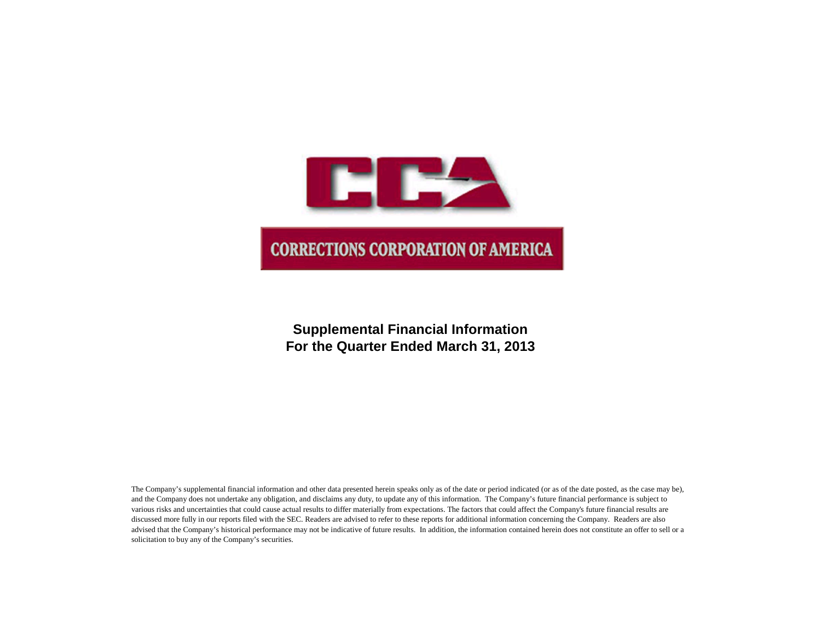

# **Supplemental Financial Information For the Quarter Ended March 31, 2013**

The Company's supplemental financial information and other data presented herein speaks only as of the date or period indicated (or as of the date posted, as the case may be), and the Company does not undertake any obligation, and disclaims any duty, to update any of this information. The Company's future financial performance is subject to various risks and uncertainties that could cause actual results to differ materially from expectations. The factors that could affect the Company's future financial results are discussed more fully in our reports filed with the SEC. Readers are advised to refer to these reports for additional information concerning the Company. Readers are also advised that the Company's historical performance may not be indicative of future results. In addition, the information contained herein does not constitute an offer to sell or a solicitation to buy any of the Company's securities.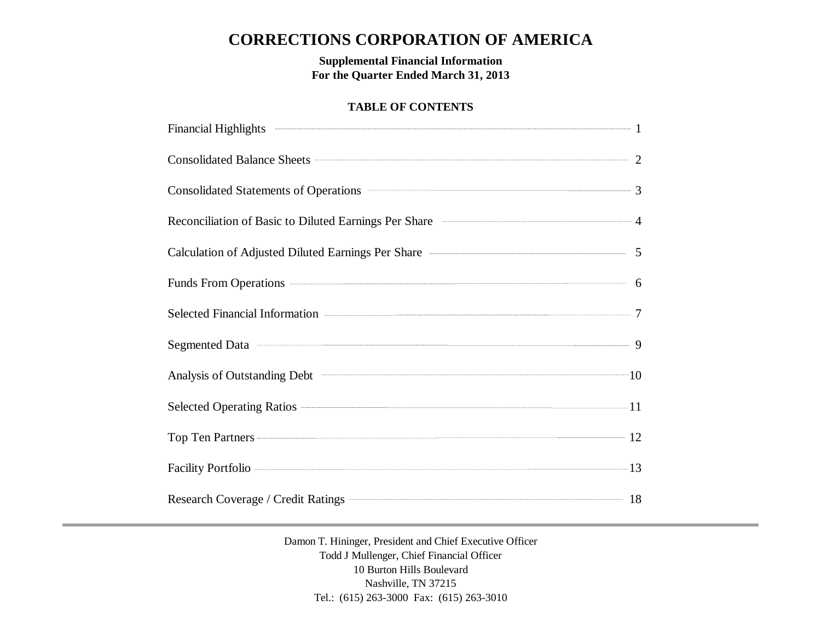# **CORRECTIONS CORPORATION OF AMERICA**

**Supplemental Financial Information For the Quarter Ended March 31, 2013**

### **TABLE OF CONTENTS**

| Financial Highlights 2008 and 2008 and 2008 and 2008 and 2008 and 2008 and 2008 and 2008 and 2008 and 2008 and 2008 and 2008 and 2008 and 2008 and 2008 and 2008 and 2008 and 2008 and 2008 and 2008 and 2008 and 2008 and 200                          |  |
|---------------------------------------------------------------------------------------------------------------------------------------------------------------------------------------------------------------------------------------------------------|--|
| Consolidated Balance Sheets 22                                                                                                                                                                                                                          |  |
| Consolidated Statements of Operations <b>Consolidated</b> Statements of Operations <b>Consolidated</b> Statements of Operations <b>Consolidated</b> Statements of Operations <b>Consolidated</b> Statements of Operations <b>Consolidated</b> Statement |  |
| Reconciliation of Basic to Diluted Earnings Per Share <b>Constanting According to According According According According According According According According According According According According According According Ac</b>                    |  |
| Calculation of Adjusted Diluted Earnings Per Share <b>Calculation</b> 5                                                                                                                                                                                 |  |
| Funds From Operations 6                                                                                                                                                                                                                                 |  |
| Selected Financial Information <b>Construction</b> 7                                                                                                                                                                                                    |  |
| Segmented Data 30 and 30 and 30 and 30 and 30 and 30 and 30 and 30 and 30 and 30 and 30 and 30 and 30 and 30 and 30 and 30 and 30 and 30 and 30 and 30 and 30 and 30 and 30 and 30 and 30 and 30 and 30 and 30 and 30 and 30 a                          |  |
| Analysis of Outstanding Debt <sup>201</sup> 10                                                                                                                                                                                                          |  |
|                                                                                                                                                                                                                                                         |  |
| Top Ten Partners 22                                                                                                                                                                                                                                     |  |
| Facility Portfolio 223 13                                                                                                                                                                                                                               |  |
| Research Coverage / Credit Ratings <b>Construction</b> 18                                                                                                                                                                                               |  |

Damon T. Hininger, President and Chief Executive Officer Todd J Mullenger, Chief Financial Officer 10 Burton Hills Boulevard Nashville, TN 37215 Tel.: (615) 263-3000 Fax: (615) 263-3010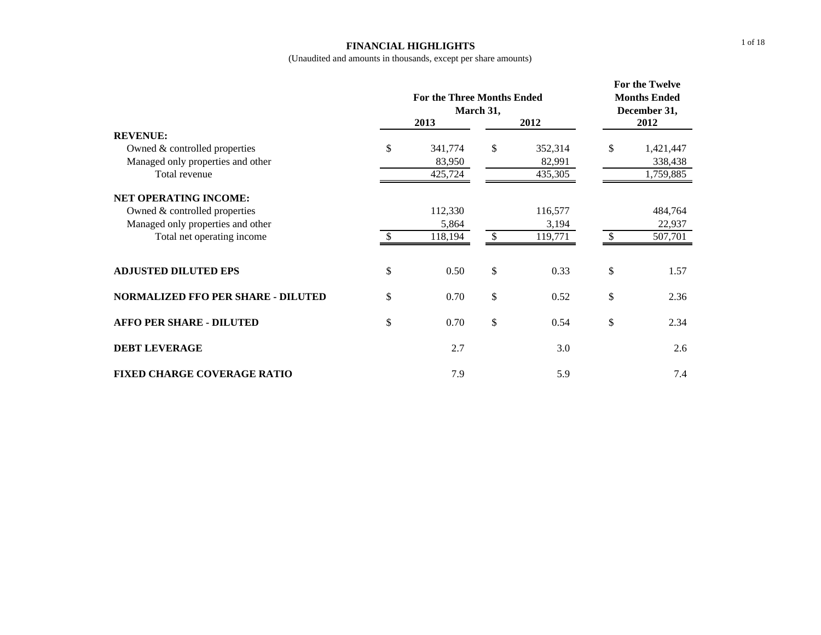#### **FINANCIAL HIGHLIGHTS**

|                                           |               | <b>For the Three Months Ended</b><br>March 31, | For the Twelve<br><b>Months Ended</b><br>December 31, |         |      |           |  |
|-------------------------------------------|---------------|------------------------------------------------|-------------------------------------------------------|---------|------|-----------|--|
|                                           | 2013<br>2012  |                                                |                                                       |         | 2012 |           |  |
| <b>REVENUE:</b>                           |               |                                                |                                                       |         |      |           |  |
| Owned & controlled properties             | \$            | 341,774                                        | \$                                                    | 352,314 | \$   | 1,421,447 |  |
| Managed only properties and other         |               | 83,950                                         |                                                       | 82,991  |      | 338,438   |  |
| Total revenue                             |               | 425,724                                        |                                                       | 435,305 |      | 1,759,885 |  |
| <b>NET OPERATING INCOME:</b>              |               |                                                |                                                       |         |      |           |  |
| Owned & controlled properties             |               | 112,330                                        |                                                       | 116,577 |      | 484,764   |  |
| Managed only properties and other         |               | 5,864                                          |                                                       | 3,194   |      | 22,937    |  |
| Total net operating income                | $\mathcal{S}$ | 118,194                                        | -S                                                    | 119,771 |      | 507,701   |  |
|                                           |               |                                                |                                                       |         |      |           |  |
| <b>ADJUSTED DILUTED EPS</b>               | \$            | 0.50                                           | \$                                                    | 0.33    | \$   | 1.57      |  |
| <b>NORMALIZED FFO PER SHARE - DILUTED</b> | \$            | 0.70                                           | \$                                                    | 0.52    | \$   | 2.36      |  |
| <b>AFFO PER SHARE - DILUTED</b>           | \$            | 0.70                                           | \$                                                    | 0.54    | \$   | 2.34      |  |
| <b>DEBT LEVERAGE</b>                      |               | 2.7                                            |                                                       | 3.0     |      | 2.6       |  |
| <b>FIXED CHARGE COVERAGE RATIO</b>        |               | 7.9                                            |                                                       | 5.9     |      | 7.4       |  |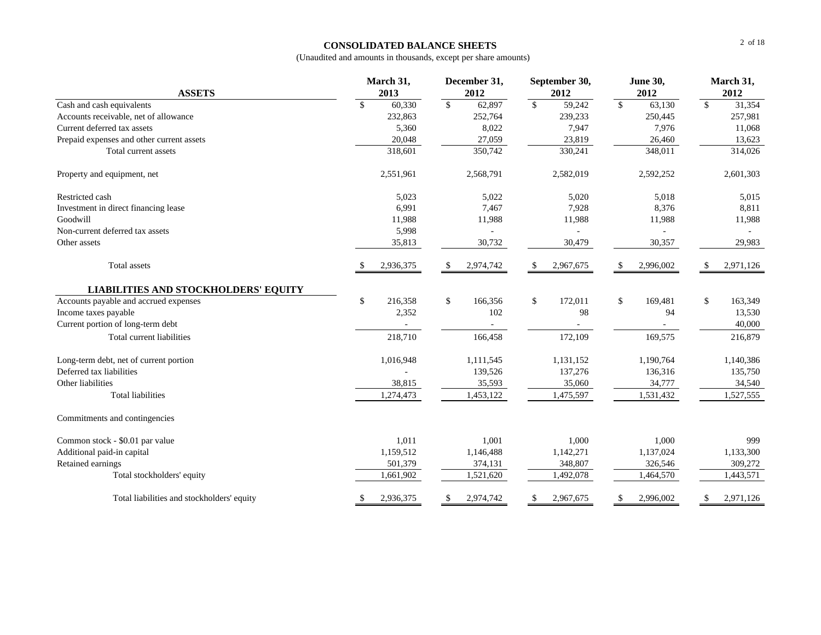#### **CONSOLIDATED BALANCE SHEETS**

| <b>ASSETS</b>                               | March 31,<br>December 31,<br>September 30,<br>2013<br>2012<br>2012 |                | <b>June 30,</b><br>2012 |           | March 31,<br>2012 |                |                          |           |               |           |
|---------------------------------------------|--------------------------------------------------------------------|----------------|-------------------------|-----------|-------------------|----------------|--------------------------|-----------|---------------|-----------|
| Cash and cash equivalents                   | \$                                                                 | 60,330         | $\mathbb{S}$            | 62,897    | $\sqrt{S}$        | 59,242         | $\overline{\mathcal{S}}$ | 63,130    | $\sqrt{3}$    | 31,354    |
| Accounts receivable, net of allowance       |                                                                    | 232,863        |                         | 252,764   |                   | 239,233        |                          | 250,445   |               | 257,981   |
| Current deferred tax assets                 |                                                                    | 5,360          |                         | 8,022     |                   | 7,947          |                          | 7,976     |               | 11,068    |
| Prepaid expenses and other current assets   |                                                                    | 20,048         |                         | 27,059    |                   | 23,819         |                          | 26,460    |               | 13,623    |
| Total current assets                        |                                                                    | 318,601        |                         | 350,742   |                   | 330,241        |                          | 348,011   |               | 314,026   |
| Property and equipment, net                 |                                                                    | 2,551,961      |                         | 2,568,791 |                   | 2,582,019      |                          | 2,592,252 |               | 2,601,303 |
| Restricted cash                             |                                                                    | 5,023          |                         | 5,022     |                   | 5,020          |                          | 5,018     |               | 5,015     |
| Investment in direct financing lease        |                                                                    | 6,991          |                         | 7,467     |                   | 7,928          |                          | 8,376     |               | 8,811     |
| Goodwill                                    |                                                                    | 11,988         |                         | 11,988    |                   | 11,988         |                          | 11,988    |               | 11,988    |
| Non-current deferred tax assets             |                                                                    | 5,998          |                         |           |                   | $\overline{a}$ |                          | ÷,        |               |           |
| Other assets                                |                                                                    | 35,813         |                         | 30,732    |                   | 30,479         |                          | 30,357    |               | 29,983    |
| Total assets                                |                                                                    | 2,936,375      | S.                      | 2,974,742 | S.                | 2,967,675      | -S                       | 2,996,002 | <sup>\$</sup> | 2,971,126 |
| <b>LIABILITIES AND STOCKHOLDERS' EQUITY</b> |                                                                    |                |                         |           |                   |                |                          |           |               |           |
| Accounts payable and accrued expenses       | \$                                                                 | 216,358        | \$                      | 166,356   | \$                | 172,011        | \$                       | 169,481   | \$            | 163,349   |
| Income taxes payable                        |                                                                    | 2,352          |                         | 102       |                   | 98             |                          | 94        |               | 13,530    |
| Current portion of long-term debt           |                                                                    | $\blacksquare$ |                         |           |                   |                |                          |           |               | 40,000    |
| Total current liabilities                   |                                                                    | 218,710        |                         | 166,458   |                   | 172,109        |                          | 169,575   |               | 216,879   |
| Long-term debt, net of current portion      |                                                                    | 1,016,948      |                         | 1,111,545 |                   | 1,131,152      |                          | 1,190,764 |               | 1,140,386 |
| Deferred tax liabilities                    |                                                                    |                |                         | 139,526   |                   | 137,276        |                          | 136,316   |               | 135,750   |
| Other liabilities                           |                                                                    | 38,815         |                         | 35,593    |                   | 35,060         |                          | 34,777    |               | 34,540    |
| <b>Total liabilities</b>                    |                                                                    | 1,274,473      |                         | 1,453,122 |                   | 1,475,597      |                          | 1,531,432 |               | 1,527,555 |
| Commitments and contingencies               |                                                                    |                |                         |           |                   |                |                          |           |               |           |
| Common stock - \$0.01 par value             |                                                                    | 1,011          |                         | 1,001     |                   | 1,000          |                          | 1,000     |               | 999       |
| Additional paid-in capital                  |                                                                    | 1,159,512      |                         | 1,146,488 |                   | 1,142,271      |                          | 1,137,024 |               | 1,133,300 |
| Retained earnings                           |                                                                    | 501,379        |                         | 374,131   |                   | 348,807        |                          | 326,546   |               | 309,272   |
| Total stockholders' equity                  |                                                                    | 1,661,902      |                         | 1,521,620 |                   | 1,492,078      |                          | 1,464,570 |               | 1,443,571 |
| Total liabilities and stockholders' equity  | \$                                                                 | 2,936,375      | \$                      | 2,974,742 | \$                | 2,967,675      | \$                       | 2,996,002 | \$            | 2,971,126 |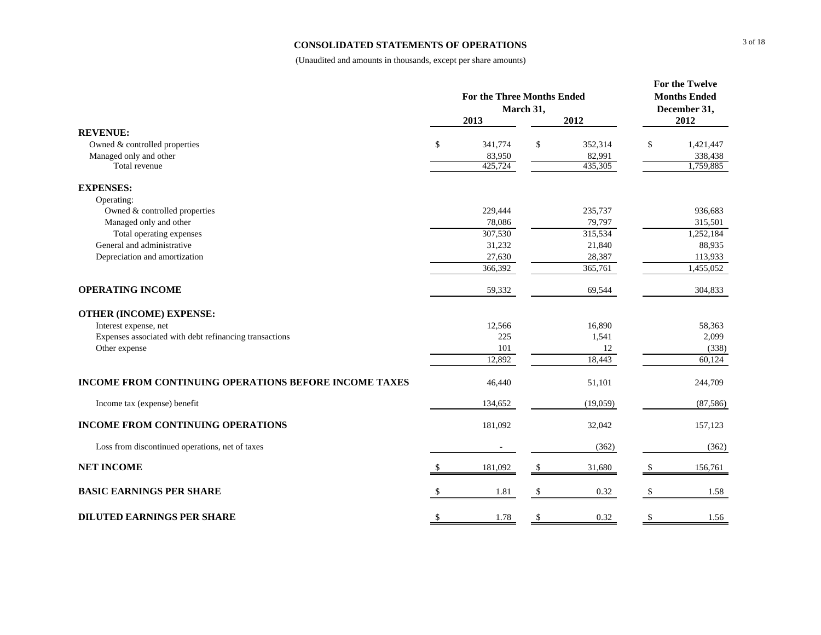#### **CONSOLIDATED STATEMENTS OF OPERATIONS**

|                                                              | <b>For the Three Months Ended</b><br>March 31, |         |               |          | <b>For the Twelve</b><br><b>Months Ended</b><br>December 31, |           |  |
|--------------------------------------------------------------|------------------------------------------------|---------|---------------|----------|--------------------------------------------------------------|-----------|--|
|                                                              |                                                | 2013    |               | 2012     |                                                              | 2012      |  |
| <b>REVENUE:</b>                                              |                                                |         |               |          |                                                              |           |  |
| Owned & controlled properties                                | \$                                             | 341,774 | \$            | 352,314  | \$                                                           | 1,421,447 |  |
| Managed only and other                                       |                                                | 83,950  |               | 82,991   |                                                              | 338,438   |  |
| Total revenue                                                |                                                | 425,724 |               | 435,305  |                                                              | 1,759,885 |  |
| <b>EXPENSES:</b>                                             |                                                |         |               |          |                                                              |           |  |
| Operating:                                                   |                                                |         |               |          |                                                              |           |  |
| Owned & controlled properties                                |                                                | 229,444 |               | 235,737  |                                                              | 936,683   |  |
| Managed only and other                                       |                                                | 78,086  |               | 79,797   |                                                              | 315,501   |  |
| Total operating expenses                                     |                                                | 307,530 |               | 315,534  |                                                              | 1,252,184 |  |
| General and administrative                                   |                                                | 31,232  |               | 21,840   |                                                              | 88,935    |  |
| Depreciation and amortization                                |                                                | 27,630  |               | 28,387   |                                                              | 113,933   |  |
|                                                              |                                                | 366,392 |               | 365,761  |                                                              | 1,455,052 |  |
| <b>OPERATING INCOME</b>                                      |                                                | 59,332  |               | 69,544   |                                                              | 304,833   |  |
| <b>OTHER (INCOME) EXPENSE:</b>                               |                                                |         |               |          |                                                              |           |  |
| Interest expense, net                                        |                                                | 12,566  |               | 16,890   |                                                              | 58,363    |  |
| Expenses associated with debt refinancing transactions       |                                                | 225     |               | 1,541    |                                                              | 2,099     |  |
| Other expense                                                |                                                | 101     |               | 12       |                                                              | (338)     |  |
|                                                              |                                                | 12,892  |               | 18,443   |                                                              | 60,124    |  |
| <b>INCOME FROM CONTINUING OPERATIONS BEFORE INCOME TAXES</b> |                                                | 46,440  |               | 51,101   |                                                              | 244,709   |  |
| Income tax (expense) benefit                                 |                                                | 134,652 |               | (19,059) |                                                              | (87, 586) |  |
| INCOME FROM CONTINUING OPERATIONS                            |                                                | 181,092 |               | 32,042   |                                                              | 157,123   |  |
| Loss from discontinued operations, net of taxes              |                                                |         |               | (362)    |                                                              | (362)     |  |
| <b>NET INCOME</b>                                            |                                                | 181,092 | \$            | 31,680   | \$.                                                          | 156,761   |  |
| <b>BASIC EARNINGS PER SHARE</b>                              |                                                | 1.81    | <sup>\$</sup> | 0.32     |                                                              | 1.58      |  |
| <b>DILUTED EARNINGS PER SHARE</b>                            | \$                                             | 1.78    | \$            | 0.32     | \$                                                           | 1.56      |  |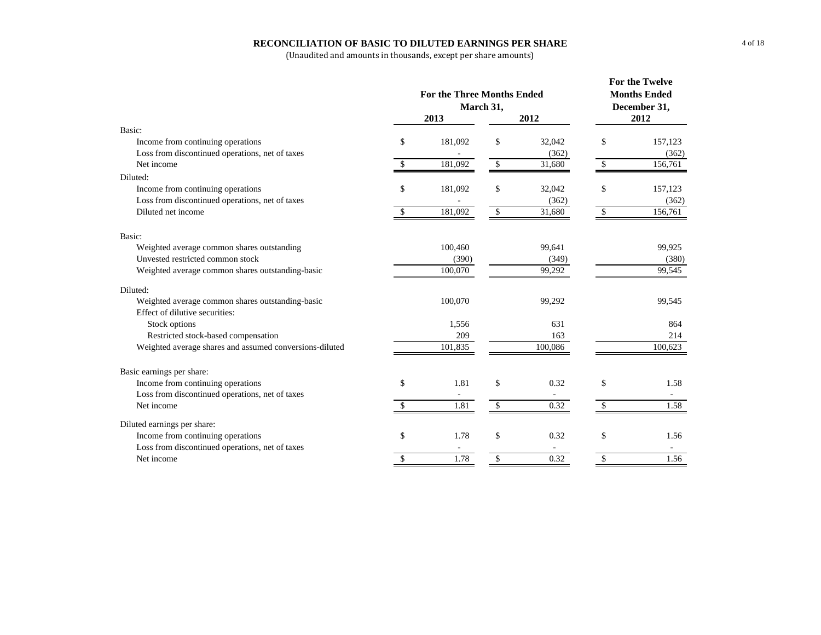#### **RECONCILIATION OF BASIC TO DILUTED EARNINGS PER SHARE**

|                                                                                    |    | <b>For the Three Months Ended</b><br>March 31,<br>2013 | For the Twelve<br><b>Months Ended</b><br>December 31,<br>2012 |         |              |         |
|------------------------------------------------------------------------------------|----|--------------------------------------------------------|---------------------------------------------------------------|---------|--------------|---------|
| Basic:                                                                             |    |                                                        |                                                               |         |              |         |
| Income from continuing operations                                                  | \$ | 181,092                                                | \$                                                            | 32,042  | \$           | 157,123 |
| Loss from discontinued operations, net of taxes                                    |    |                                                        |                                                               | (362)   |              | (362)   |
| Net income                                                                         | -S | 181,092                                                | $\mathbb{S}$                                                  | 31,680  | \$           | 156,761 |
| Diluted:                                                                           |    |                                                        |                                                               |         |              |         |
| Income from continuing operations                                                  | \$ | 181,092                                                | \$                                                            | 32,042  | \$           | 157,123 |
| Loss from discontinued operations, net of taxes                                    |    |                                                        |                                                               | (362)   |              | (362)   |
| Diluted net income                                                                 | \$ | 181,092                                                | $\mathbb{S}$                                                  | 31,680  | \$           | 156,761 |
| Basic:                                                                             |    |                                                        |                                                               |         |              |         |
| Weighted average common shares outstanding                                         |    | 100,460                                                |                                                               | 99,641  |              | 99,925  |
| Unvested restricted common stock                                                   |    | (390)                                                  |                                                               | (349)   |              | (380)   |
| Weighted average common shares outstanding-basic                                   |    | 100,070                                                |                                                               | 99,292  |              | 99,545  |
| Diluted:                                                                           |    |                                                        |                                                               |         |              |         |
| Weighted average common shares outstanding-basic<br>Effect of dilutive securities: |    | 100,070                                                |                                                               | 99,292  |              | 99,545  |
| Stock options                                                                      |    | 1,556                                                  |                                                               | 631     |              | 864     |
| Restricted stock-based compensation                                                |    | 209                                                    |                                                               | 163     |              | 214     |
| Weighted average shares and assumed conversions-diluted                            |    | 101,835                                                |                                                               | 100,086 |              | 100,623 |
|                                                                                    |    |                                                        |                                                               |         |              |         |
| Basic earnings per share:                                                          |    |                                                        |                                                               |         |              |         |
| Income from continuing operations                                                  | \$ | 1.81                                                   | \$                                                            | 0.32    | \$           | 1.58    |
| Loss from discontinued operations, net of taxes                                    |    |                                                        |                                                               |         |              |         |
| Net income                                                                         | S. | 1.81                                                   | $\mathcal{S}$                                                 | 0.32    | $\mathbb{S}$ | 1.58    |
| Diluted earnings per share:                                                        |    |                                                        |                                                               |         |              |         |
| Income from continuing operations                                                  | \$ | 1.78                                                   | \$                                                            | 0.32    | \$           | 1.56    |
| Loss from discontinued operations, net of taxes                                    |    |                                                        |                                                               |         |              |         |
| Net income                                                                         | \$ | 1.78                                                   | $\mathbb{S}$                                                  | 0.32    | \$           | 1.56    |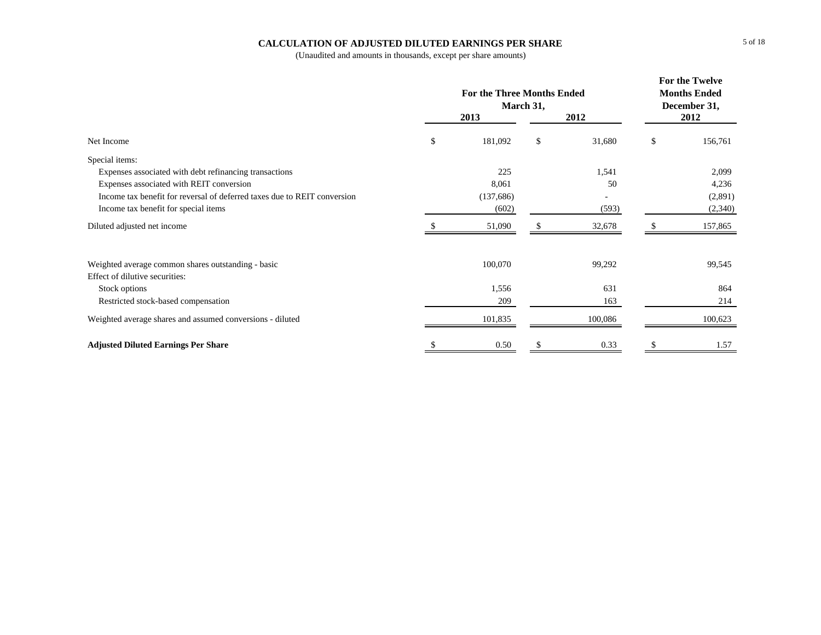### **CALCULATION OF ADJUSTED DILUTED EARNINGS PER SHARE**

|                                                                          |               | For the Twelve<br><b>Months Ended</b><br>December 31, |              |    |         |
|--------------------------------------------------------------------------|---------------|-------------------------------------------------------|--------------|----|---------|
|                                                                          |               | 2013                                                  | 2012         |    | 2012    |
| Net Income                                                               | \$            | 181,092                                               | \$<br>31,680 | \$ | 156,761 |
| Special items:                                                           |               |                                                       |              |    |         |
| Expenses associated with debt refinancing transactions                   |               | 225                                                   | 1,541        |    | 2,099   |
| Expenses associated with REIT conversion                                 |               | 8,061                                                 | 50           |    | 4,236   |
| Income tax benefit for reversal of deferred taxes due to REIT conversion |               | (137, 686)                                            |              |    | (2,891) |
| Income tax benefit for special items                                     |               | (602)                                                 | (593)        |    | (2,340) |
| Diluted adjusted net income                                              |               | 51,090                                                | 32,678       |    | 157,865 |
| Weighted average common shares outstanding - basic                       |               | 100,070                                               | 99,292       |    | 99,545  |
| Effect of dilutive securities:                                           |               |                                                       |              |    |         |
| Stock options                                                            |               | 1,556                                                 | 631          |    | 864     |
| Restricted stock-based compensation                                      |               | 209                                                   | 163          |    | 214     |
| Weighted average shares and assumed conversions - diluted                |               | 101,835                                               | 100,086      |    | 100,623 |
| <b>Adjusted Diluted Earnings Per Share</b>                               | <sup>\$</sup> | 0.50                                                  | \$<br>0.33   | S  | 1.57    |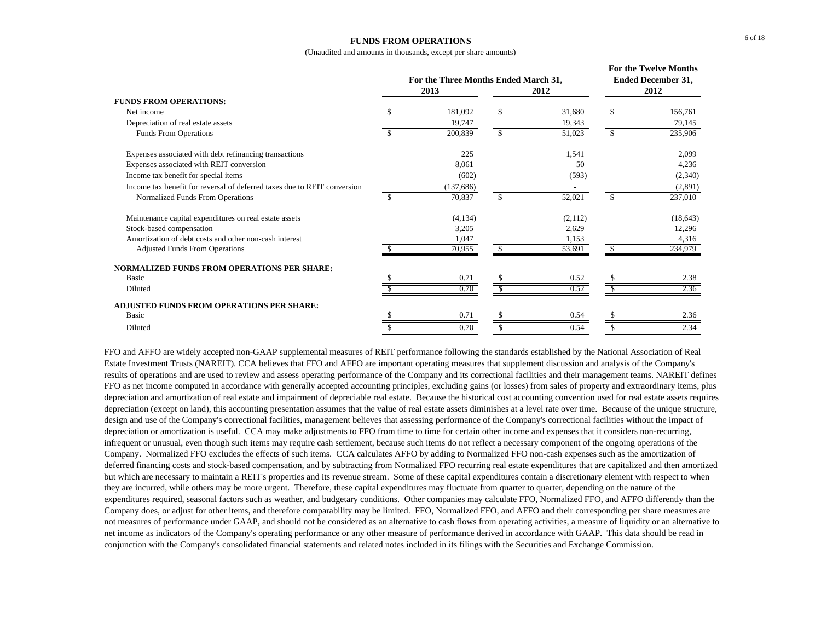#### **FUNDS FROM OPERATIONS**

(Unaudited and amounts in thousands, except per share amounts)

|                                                                          |               | For the Three Months Ended March 31,<br>2013 |     | 2012    | <b>For the Twelve Months</b><br><b>Ended December 31,</b><br>2012 |           |  |
|--------------------------------------------------------------------------|---------------|----------------------------------------------|-----|---------|-------------------------------------------------------------------|-----------|--|
| <b>FUNDS FROM OPERATIONS:</b>                                            |               |                                              |     |         |                                                                   |           |  |
| Net income                                                               | \$.           | 181.092                                      | \$  | 31,680  | \$                                                                | 156,761   |  |
| Depreciation of real estate assets                                       |               | 19,747                                       |     | 19,343  |                                                                   | 79,145    |  |
| Funds From Operations                                                    |               | 200,839                                      | \$. | 51,023  | \$.                                                               | 235,906   |  |
| Expenses associated with debt refinancing transactions                   |               | 225                                          |     | 1,541   |                                                                   | 2,099     |  |
| Expenses associated with REIT conversion                                 |               | 8,061                                        |     | 50      |                                                                   | 4,236     |  |
| Income tax benefit for special items                                     |               | (602)                                        |     | (593)   |                                                                   | (2,340)   |  |
| Income tax benefit for reversal of deferred taxes due to REIT conversion |               | (137, 686)                                   |     |         |                                                                   | (2,891)   |  |
| Normalized Funds From Operations                                         | <sup>\$</sup> | 70,837                                       | \$  | 52,021  | \$                                                                | 237,010   |  |
| Maintenance capital expenditures on real estate assets                   |               | (4,134)                                      |     | (2,112) |                                                                   | (18, 643) |  |
| Stock-based compensation                                                 |               | 3,205                                        |     | 2,629   |                                                                   | 12,296    |  |
| Amortization of debt costs and other non-cash interest                   |               | 1,047                                        |     | 1,153   |                                                                   | 4,316     |  |
| <b>Adjusted Funds From Operations</b>                                    |               | 70,955                                       |     | 53,691  |                                                                   | 234,979   |  |
| NORMALIZED FUNDS FROM OPERATIONS PER SHARE:                              |               |                                              |     |         |                                                                   |           |  |
| Basic                                                                    |               | 0.71                                         |     | 0.52    |                                                                   | 2.38      |  |
| Diluted                                                                  |               | 0.70                                         |     | 0.52    |                                                                   | 2.36      |  |
| ADJUSTED FUNDS FROM OPERATIONS PER SHARE:                                |               |                                              |     |         |                                                                   |           |  |
| Basic                                                                    |               | 0.71                                         |     | 0.54    |                                                                   | 2.36      |  |
| Diluted                                                                  |               | 0.70                                         | S   | 0.54    | \$                                                                | 2.34      |  |

FFO and AFFO are widely accepted non-GAAP supplemental measures of REIT performance following the standards established by the National Association of Real Estate Investment Trusts (NAREIT). CCA believes that FFO and AFFO are important operating measures that supplement discussion and analysis of the Company's results of operations and are used to review and assess operating performance of the Company and its correctional facilities and their management teams. NAREIT defines FFO as net income computed in accordance with generally accepted accounting principles, excluding gains (or losses) from sales of property and extraordinary items, plus depreciation and amortization of real estate and impairment of depreciable real estate. Because the historical cost accounting convention used for real estate assets requires depreciation (except on land), this accounting presentation assumes that the value of real estate assets diminishes at a level rate over time. Because of the unique structure, design and use of the Company's correctional facilities, management believes that assessing performance of the Company's correctional facilities without the impact of depreciation or amortization is useful. CCA may make adjustments to FFO from time to time for certain other income and expenses that it considers non-recurring, infrequent or unusual, even though such items may require cash settlement, because such items do not reflect a necessary component of the ongoing operations of the Company. Normalized FFO excludes the effects of such items. CCA calculates AFFO by adding to Normalized FFO non-cash expenses such as the amortization of deferred financing costs and stock-based compensation, and by subtracting from Normalized FFO recurring real estate expenditures that are capitalized and then amortized but which are necessary to maintain a REIT's properties and its revenue stream. Some of these capital expenditures contain a discretionary element with respect to when they are incurred, while others may be more urgent. Therefore, these capital expenditures may fluctuate from quarter to quarter, depending on the nature of the expenditures required, seasonal factors such as weather, and budgetary conditions. Other companies may calculate FFO, Normalized FFO, and AFFO differently than the Company does, or adjust for other items, and therefore comparability may be limited. FFO, Normalized FFO, and AFFO and their corresponding per share measures are not measures of performance under GAAP, and should not be considered as an alternative to cash flows from operating activities, a measure of liquidity or an alternative to net income as indicators of the Company's operating performance or any other measure of performance derived in accordance with GAAP. This data should be read in conjunction with the Company's consolidated financial statements and related notes included in its filings with the Securities and Exchange Commission.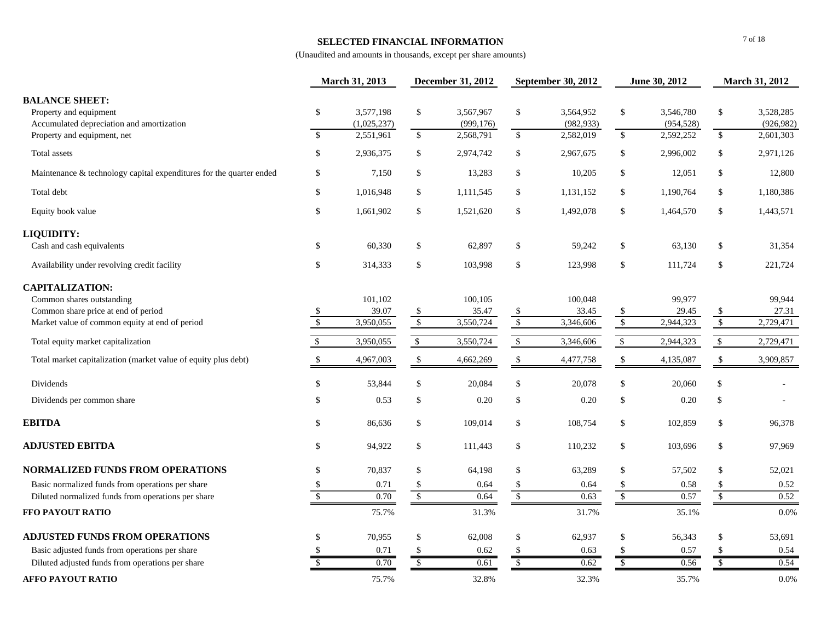### **SELECTED FINANCIAL INFORMATION**

|                                                                                              |                          | March 31, 2013           |                          | <b>December 31, 2012</b> | <b>September 30, 2012</b><br>June 30, 2012 |                         |                          | March 31, 2012          |                         |                         |
|----------------------------------------------------------------------------------------------|--------------------------|--------------------------|--------------------------|--------------------------|--------------------------------------------|-------------------------|--------------------------|-------------------------|-------------------------|-------------------------|
| <b>BALANCE SHEET:</b><br>Property and equipment<br>Accumulated depreciation and amortization | \$                       | 3,577,198<br>(1,025,237) | $\$$                     | 3,567,967<br>(999, 176)  | \$                                         | 3,564,952<br>(982, 933) | $\mathbb{S}$             | 3,546,780<br>(954, 528) | \$                      | 3,528,285<br>(926, 982) |
| Property and equipment, net                                                                  | $\mathbb{S}$             | 2,551,961                | $\mathbb{S}$             | 2,568,791                | $\mathcal{S}$                              | 2,582,019               | $\mathbb{S}$             | 2,592,252               | $\mathsf{\$}$           | 2,601,303               |
| Total assets                                                                                 | \$                       | 2,936,375                | \$                       | 2,974,742                | \$                                         | 2,967,675               | $\sqrt[6]{\frac{1}{2}}$  | 2,996,002               | \$                      | 2,971,126               |
| Maintenance & technology capital expenditures for the quarter ended                          | \$                       | 7,150                    | \$                       | 13,283                   | \$                                         | 10,205                  | \$                       | 12,051                  | \$                      | 12,800                  |
| Total debt                                                                                   | \$                       | 1,016,948                | \$                       | 1,111,545                | \$                                         | 1,131,152               | \$                       | 1,190,764               | \$                      | 1,180,386               |
| Equity book value                                                                            | \$                       | 1,661,902                | \$                       | 1,521,620                | \$                                         | 1,492,078               | \$                       | 1,464,570               | \$                      | 1,443,571               |
| LIQUIDITY:                                                                                   |                          |                          |                          |                          |                                            |                         |                          |                         |                         |                         |
| Cash and cash equivalents                                                                    | \$                       | 60,330                   | \$                       | 62,897                   | \$                                         | 59,242                  | \$                       | 63,130                  | \$                      | 31,354                  |
| Availability under revolving credit facility                                                 | \$                       | 314,333                  | \$                       | 103,998                  | \$                                         | 123,998                 | \$                       | 111,724                 | \$                      | 221,724                 |
| <b>CAPITALIZATION:</b>                                                                       |                          |                          |                          |                          |                                            |                         |                          |                         |                         |                         |
| Common shares outstanding                                                                    |                          | 101,102                  |                          | 100,105                  |                                            | 100,048                 |                          | 99,977                  |                         | 99,944                  |
| Common share price at end of period                                                          | \$                       | 39.07                    | \$                       | 35.47                    | \$                                         | 33.45                   | \$                       | 29.45                   | \$                      | 27.31                   |
| Market value of common equity at end of period                                               | $\overline{\mathcal{S}}$ | 3,950,055                | $\sqrt{2}$               | 3,550,724                | $\sqrt{3}$                                 | 3,346,606               | $\sqrt{2}$               | 2,944,323               | $\sqrt{3}$              | 2,729,471               |
| Total equity market capitalization                                                           | $\sqrt{5}$               | 3,950,055                | $\sqrt{3}$               | 3,550,724                | $\mathbb{S}$                               | 3,346,606               | $\sqrt{2}$               | 2,944,323               | $\mathbb{S}$            | 2,729,471               |
| Total market capitalization (market value of equity plus debt)                               | $\mathbb{S}$             | 4,967,003                | $\mathbb{S}$             | 4,662,269                | \$                                         | 4,477,758               | \$                       | 4,135,087               | \$                      | 3,909,857               |
| Dividends                                                                                    | $\mathbb{S}$             | 53,844                   | \$                       | 20,084                   | \$                                         | 20,078                  | \$                       | 20,060                  | $\mathbb{S}$            |                         |
| Dividends per common share                                                                   | \$                       | 0.53                     | \$                       | 0.20                     | \$                                         | 0.20                    | \$                       | 0.20                    | \$                      |                         |
| <b>EBITDA</b>                                                                                | \$                       | 86,636                   | \$                       | 109,014                  | \$                                         | 108,754                 | \$                       | 102,859                 | \$                      | 96,378                  |
| <b>ADJUSTED EBITDA</b>                                                                       | \$                       | 94,922                   | \$                       | 111,443                  | \$                                         | 110,232                 | \$                       | 103,696                 | \$                      | 97,969                  |
| <b>NORMALIZED FUNDS FROM OPERATIONS</b>                                                      | \$                       | 70,837                   | \$                       | 64,198                   | \$                                         | 63,289                  | \$                       | 57,502                  | \$                      | 52,021                  |
| Basic normalized funds from operations per share                                             | -S                       | 0.71                     | \$                       | 0.64                     | -S                                         | 0.64                    | <sup>\$</sup>            | 0.58                    |                         | 0.52                    |
| Diluted normalized funds from operations per share                                           | $\overline{3}$           | 0.70                     | $\overline{\mathcal{S}}$ | 0.64                     | $\frac{1}{s}$                              | 0.63                    | $\overline{\mathcal{F}}$ | 0.57                    | $\overline{\mathbf{s}}$ | 0.52                    |
| FFO PAYOUT RATIO                                                                             |                          | 75.7%                    |                          | 31.3%                    |                                            | 31.7%                   |                          | 35.1%                   |                         | 0.0%                    |
| <b>ADJUSTED FUNDS FROM OPERATIONS</b>                                                        | \$                       | 70,955                   | \$                       | 62,008                   | \$                                         | 62,937                  | \$                       | 56,343                  | \$                      | 53,691                  |
| Basic adjusted funds from operations per share                                               | \$                       | 0.71                     | $\$$                     | 0.62                     | \$                                         | 0.63                    | \$                       | 0.57                    | \$                      | 0.54                    |
| Diluted adjusted funds from operations per share                                             | $\sqrt{\frac{2}{5}}$     | 0.70                     | $\sqrt{2}$               | 0.61                     | $\overline{\$}$                            | 0.62                    | $\sqrt{\frac{2}{5}}$     | 0.56                    | $\sqrt[6]{\frac{1}{2}}$ | 0.54                    |
| <b>AFFO PAYOUT RATIO</b>                                                                     |                          | 75.7%                    |                          | 32.8%                    |                                            | 32.3%                   |                          | 35.7%                   |                         | 0.0%                    |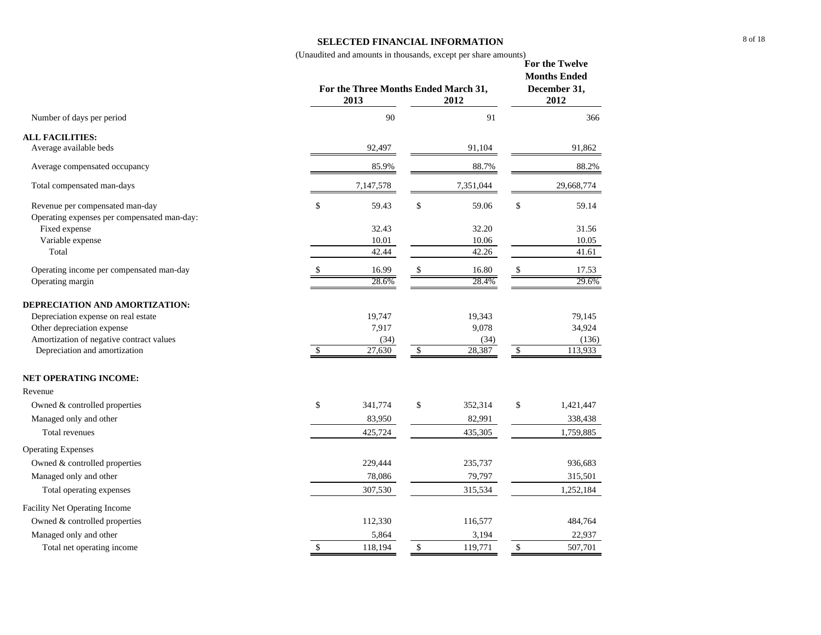#### **SELECTED FINANCIAL INFORMATION**

(Unaudited and amounts in thousands, except per share amounts) **For the Twelve** 

| 90<br>91<br>366<br>Number of days per period<br><b>ALL FACILITIES:</b><br>Average available beds<br>92,497<br>91,104<br>91,862<br>85.9%<br>88.7%<br>88.2%<br>Average compensated occupancy<br>7,147,578<br>7,351,044<br>29,668,774<br>Total compensated man-days<br>\$<br>\$<br>Revenue per compensated man-day<br>\$<br>59.43<br>59.06<br>59.14<br>Operating expenses per compensated man-day:<br>Fixed expense<br>32.43<br>32.20<br>31.56<br>Variable expense<br>10.01<br>10.06<br>10.05<br>Total<br>42.44<br>42.26<br>41.61<br>16.99<br>16.80<br>Operating income per compensated man-day<br>\$<br>17.53<br>\$<br>29.6%<br>28.6%<br>28.4%<br>Operating margin<br>DEPRECIATION AND AMORTIZATION:<br>Depreciation expense on real estate<br>79,145<br>19,747<br>19,343<br>Other depreciation expense<br>7,917<br>9,078<br>34,924<br>Amortization of negative contract values<br>(34)<br>(136)<br>(34)<br>27,630<br>28,387<br>$\sqrt{2}$<br>$\mathbb{S}$<br>\$<br>113,933<br>Depreciation and amortization<br><b>NET OPERATING INCOME:</b><br>Revenue<br>\$<br>\$<br>\$<br>Owned & controlled properties<br>341,774<br>352,314<br>1,421,447<br>82,991<br>Managed only and other<br>83,950<br>338,438<br><b>Total revenues</b><br>425,724<br>435,305<br>1,759,885<br><b>Operating Expenses</b><br>Owned & controlled properties<br>229,444<br>235,737<br>936,683<br>Managed only and other<br>315,501<br>78,086<br>79,797<br>Total operating expenses<br>307,530<br>315,534<br>1,252,184<br>Facility Net Operating Income<br>Owned & controlled properties<br>112,330<br>116,577<br>484,764<br>Managed only and other<br>5,864<br>3,194<br>22,937<br>$\$$<br>Total net operating income<br>\$<br>118,194<br>\$<br>119,771<br>507,701 | For the Three Months Ended March 31,<br>2013 | <b>Months Ended</b><br>December 31,<br>2012 |  |
|-------------------------------------------------------------------------------------------------------------------------------------------------------------------------------------------------------------------------------------------------------------------------------------------------------------------------------------------------------------------------------------------------------------------------------------------------------------------------------------------------------------------------------------------------------------------------------------------------------------------------------------------------------------------------------------------------------------------------------------------------------------------------------------------------------------------------------------------------------------------------------------------------------------------------------------------------------------------------------------------------------------------------------------------------------------------------------------------------------------------------------------------------------------------------------------------------------------------------------------------------------------------------------------------------------------------------------------------------------------------------------------------------------------------------------------------------------------------------------------------------------------------------------------------------------------------------------------------------------------------------------------------------------------------------------------------------------------------------------------|----------------------------------------------|---------------------------------------------|--|
|                                                                                                                                                                                                                                                                                                                                                                                                                                                                                                                                                                                                                                                                                                                                                                                                                                                                                                                                                                                                                                                                                                                                                                                                                                                                                                                                                                                                                                                                                                                                                                                                                                                                                                                                     |                                              |                                             |  |
|                                                                                                                                                                                                                                                                                                                                                                                                                                                                                                                                                                                                                                                                                                                                                                                                                                                                                                                                                                                                                                                                                                                                                                                                                                                                                                                                                                                                                                                                                                                                                                                                                                                                                                                                     |                                              |                                             |  |
|                                                                                                                                                                                                                                                                                                                                                                                                                                                                                                                                                                                                                                                                                                                                                                                                                                                                                                                                                                                                                                                                                                                                                                                                                                                                                                                                                                                                                                                                                                                                                                                                                                                                                                                                     |                                              |                                             |  |
|                                                                                                                                                                                                                                                                                                                                                                                                                                                                                                                                                                                                                                                                                                                                                                                                                                                                                                                                                                                                                                                                                                                                                                                                                                                                                                                                                                                                                                                                                                                                                                                                                                                                                                                                     |                                              |                                             |  |
|                                                                                                                                                                                                                                                                                                                                                                                                                                                                                                                                                                                                                                                                                                                                                                                                                                                                                                                                                                                                                                                                                                                                                                                                                                                                                                                                                                                                                                                                                                                                                                                                                                                                                                                                     |                                              |                                             |  |
|                                                                                                                                                                                                                                                                                                                                                                                                                                                                                                                                                                                                                                                                                                                                                                                                                                                                                                                                                                                                                                                                                                                                                                                                                                                                                                                                                                                                                                                                                                                                                                                                                                                                                                                                     |                                              |                                             |  |
|                                                                                                                                                                                                                                                                                                                                                                                                                                                                                                                                                                                                                                                                                                                                                                                                                                                                                                                                                                                                                                                                                                                                                                                                                                                                                                                                                                                                                                                                                                                                                                                                                                                                                                                                     |                                              |                                             |  |
|                                                                                                                                                                                                                                                                                                                                                                                                                                                                                                                                                                                                                                                                                                                                                                                                                                                                                                                                                                                                                                                                                                                                                                                                                                                                                                                                                                                                                                                                                                                                                                                                                                                                                                                                     |                                              |                                             |  |
|                                                                                                                                                                                                                                                                                                                                                                                                                                                                                                                                                                                                                                                                                                                                                                                                                                                                                                                                                                                                                                                                                                                                                                                                                                                                                                                                                                                                                                                                                                                                                                                                                                                                                                                                     |                                              |                                             |  |
|                                                                                                                                                                                                                                                                                                                                                                                                                                                                                                                                                                                                                                                                                                                                                                                                                                                                                                                                                                                                                                                                                                                                                                                                                                                                                                                                                                                                                                                                                                                                                                                                                                                                                                                                     |                                              |                                             |  |
|                                                                                                                                                                                                                                                                                                                                                                                                                                                                                                                                                                                                                                                                                                                                                                                                                                                                                                                                                                                                                                                                                                                                                                                                                                                                                                                                                                                                                                                                                                                                                                                                                                                                                                                                     |                                              |                                             |  |
|                                                                                                                                                                                                                                                                                                                                                                                                                                                                                                                                                                                                                                                                                                                                                                                                                                                                                                                                                                                                                                                                                                                                                                                                                                                                                                                                                                                                                                                                                                                                                                                                                                                                                                                                     |                                              |                                             |  |
|                                                                                                                                                                                                                                                                                                                                                                                                                                                                                                                                                                                                                                                                                                                                                                                                                                                                                                                                                                                                                                                                                                                                                                                                                                                                                                                                                                                                                                                                                                                                                                                                                                                                                                                                     |                                              |                                             |  |
|                                                                                                                                                                                                                                                                                                                                                                                                                                                                                                                                                                                                                                                                                                                                                                                                                                                                                                                                                                                                                                                                                                                                                                                                                                                                                                                                                                                                                                                                                                                                                                                                                                                                                                                                     |                                              |                                             |  |
|                                                                                                                                                                                                                                                                                                                                                                                                                                                                                                                                                                                                                                                                                                                                                                                                                                                                                                                                                                                                                                                                                                                                                                                                                                                                                                                                                                                                                                                                                                                                                                                                                                                                                                                                     |                                              |                                             |  |
|                                                                                                                                                                                                                                                                                                                                                                                                                                                                                                                                                                                                                                                                                                                                                                                                                                                                                                                                                                                                                                                                                                                                                                                                                                                                                                                                                                                                                                                                                                                                                                                                                                                                                                                                     |                                              |                                             |  |
|                                                                                                                                                                                                                                                                                                                                                                                                                                                                                                                                                                                                                                                                                                                                                                                                                                                                                                                                                                                                                                                                                                                                                                                                                                                                                                                                                                                                                                                                                                                                                                                                                                                                                                                                     |                                              |                                             |  |
|                                                                                                                                                                                                                                                                                                                                                                                                                                                                                                                                                                                                                                                                                                                                                                                                                                                                                                                                                                                                                                                                                                                                                                                                                                                                                                                                                                                                                                                                                                                                                                                                                                                                                                                                     |                                              |                                             |  |
|                                                                                                                                                                                                                                                                                                                                                                                                                                                                                                                                                                                                                                                                                                                                                                                                                                                                                                                                                                                                                                                                                                                                                                                                                                                                                                                                                                                                                                                                                                                                                                                                                                                                                                                                     |                                              |                                             |  |
|                                                                                                                                                                                                                                                                                                                                                                                                                                                                                                                                                                                                                                                                                                                                                                                                                                                                                                                                                                                                                                                                                                                                                                                                                                                                                                                                                                                                                                                                                                                                                                                                                                                                                                                                     |                                              |                                             |  |
|                                                                                                                                                                                                                                                                                                                                                                                                                                                                                                                                                                                                                                                                                                                                                                                                                                                                                                                                                                                                                                                                                                                                                                                                                                                                                                                                                                                                                                                                                                                                                                                                                                                                                                                                     |                                              |                                             |  |
|                                                                                                                                                                                                                                                                                                                                                                                                                                                                                                                                                                                                                                                                                                                                                                                                                                                                                                                                                                                                                                                                                                                                                                                                                                                                                                                                                                                                                                                                                                                                                                                                                                                                                                                                     |                                              |                                             |  |
|                                                                                                                                                                                                                                                                                                                                                                                                                                                                                                                                                                                                                                                                                                                                                                                                                                                                                                                                                                                                                                                                                                                                                                                                                                                                                                                                                                                                                                                                                                                                                                                                                                                                                                                                     |                                              |                                             |  |
|                                                                                                                                                                                                                                                                                                                                                                                                                                                                                                                                                                                                                                                                                                                                                                                                                                                                                                                                                                                                                                                                                                                                                                                                                                                                                                                                                                                                                                                                                                                                                                                                                                                                                                                                     |                                              |                                             |  |
|                                                                                                                                                                                                                                                                                                                                                                                                                                                                                                                                                                                                                                                                                                                                                                                                                                                                                                                                                                                                                                                                                                                                                                                                                                                                                                                                                                                                                                                                                                                                                                                                                                                                                                                                     |                                              |                                             |  |
|                                                                                                                                                                                                                                                                                                                                                                                                                                                                                                                                                                                                                                                                                                                                                                                                                                                                                                                                                                                                                                                                                                                                                                                                                                                                                                                                                                                                                                                                                                                                                                                                                                                                                                                                     |                                              |                                             |  |
|                                                                                                                                                                                                                                                                                                                                                                                                                                                                                                                                                                                                                                                                                                                                                                                                                                                                                                                                                                                                                                                                                                                                                                                                                                                                                                                                                                                                                                                                                                                                                                                                                                                                                                                                     |                                              |                                             |  |
|                                                                                                                                                                                                                                                                                                                                                                                                                                                                                                                                                                                                                                                                                                                                                                                                                                                                                                                                                                                                                                                                                                                                                                                                                                                                                                                                                                                                                                                                                                                                                                                                                                                                                                                                     |                                              |                                             |  |
|                                                                                                                                                                                                                                                                                                                                                                                                                                                                                                                                                                                                                                                                                                                                                                                                                                                                                                                                                                                                                                                                                                                                                                                                                                                                                                                                                                                                                                                                                                                                                                                                                                                                                                                                     |                                              |                                             |  |
|                                                                                                                                                                                                                                                                                                                                                                                                                                                                                                                                                                                                                                                                                                                                                                                                                                                                                                                                                                                                                                                                                                                                                                                                                                                                                                                                                                                                                                                                                                                                                                                                                                                                                                                                     |                                              |                                             |  |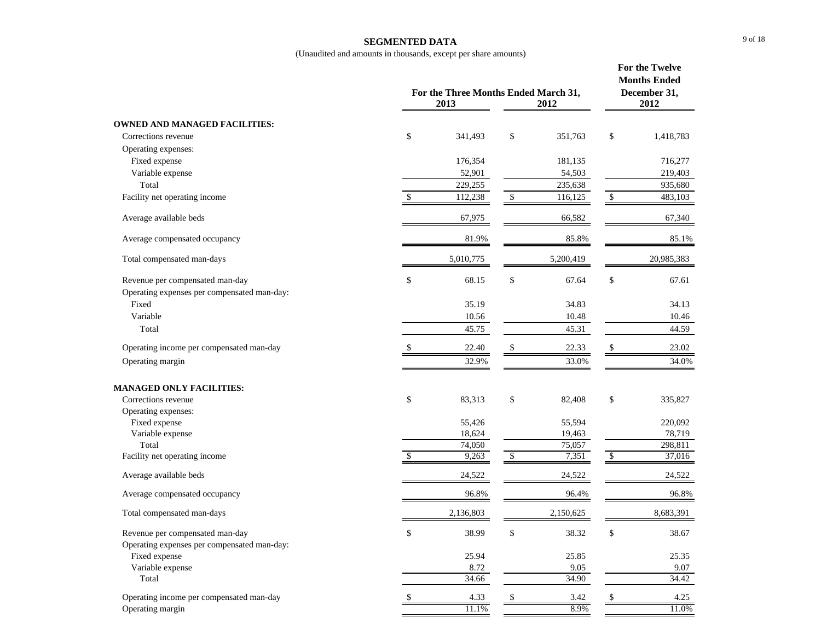#### **SEGMENTED DATA**

|                                             |     | For the Three Months Ended March 31,<br>2013<br>2012 |            |           |                           |            |  |
|---------------------------------------------|-----|------------------------------------------------------|------------|-----------|---------------------------|------------|--|
| <b>OWNED AND MANAGED FACILITIES:</b>        |     |                                                      |            |           |                           |            |  |
| Corrections revenue                         | \$  | 341,493                                              | \$         | 351,763   | \$                        | 1,418,783  |  |
| Operating expenses:                         |     |                                                      |            |           |                           |            |  |
| Fixed expense                               |     | 176,354                                              |            | 181,135   |                           | 716,277    |  |
| Variable expense                            |     | 52,901                                               |            | 54,503    |                           | 219,403    |  |
| Total                                       |     | 229,255                                              |            | 235,638   |                           | 935,680    |  |
| Facility net operating income               |     | 112,238                                              | \$         | 116,125   |                           | 483,103    |  |
|                                             |     |                                                      |            |           |                           |            |  |
| Average available beds                      |     | 67,975                                               |            | 66,582    |                           | 67,340     |  |
| Average compensated occupancy               |     | 81.9%                                                |            | 85.8%     |                           | 85.1%      |  |
| Total compensated man-days                  |     | 5,010,775                                            |            | 5,200,419 |                           | 20,985,383 |  |
| Revenue per compensated man-day             | \$  | 68.15                                                | \$         | 67.64     | \$                        | 67.61      |  |
| Operating expenses per compensated man-day: |     |                                                      |            |           |                           |            |  |
| Fixed                                       |     | 35.19                                                |            | 34.83     |                           | 34.13      |  |
| Variable                                    |     | 10.56                                                |            | 10.48     |                           | 10.46      |  |
| Total                                       |     | 45.75                                                |            | 45.31     |                           | 44.59      |  |
|                                             |     |                                                      |            |           |                           |            |  |
| Operating income per compensated man-day    |     | 22.40                                                | \$         | 22.33     |                           | 23.02      |  |
| Operating margin                            |     | 32.9%                                                |            | 33.0%     |                           | 34.0%      |  |
| <b>MANAGED ONLY FACILITIES:</b>             |     |                                                      |            |           |                           |            |  |
| Corrections revenue                         | \$  | 83,313                                               | \$         | 82,408    | \$                        | 335,827    |  |
| Operating expenses:                         |     |                                                      |            |           |                           |            |  |
| Fixed expense                               |     | 55,426                                               |            | 55,594    |                           | 220,092    |  |
| Variable expense                            |     | 18,624                                               |            | 19,463    |                           | 78,719     |  |
| Total                                       |     | 74,050                                               |            | 75,057    |                           | 298,811    |  |
| Facility net operating income               | \$. | 9,263                                                | $\sqrt{3}$ | 7,351     | $\boldsymbol{\mathsf{S}}$ | 37,016     |  |
| Average available beds                      |     | 24,522                                               |            | 24,522    |                           | 24,522     |  |
| Average compensated occupancy               |     | 96.8%                                                |            | 96.4%     |                           | 96.8%      |  |
| Total compensated man-days                  |     | 2,136,803                                            |            | 2,150,625 |                           | 8,683,391  |  |
| Revenue per compensated man-day             | \$  | 38.99                                                | \$         | 38.32     | \$                        | 38.67      |  |
| Operating expenses per compensated man-day: |     |                                                      |            |           |                           |            |  |
| Fixed expense                               |     | 25.94                                                |            | 25.85     |                           | 25.35      |  |
| Variable expense                            |     | 8.72                                                 |            | 9.05      |                           | 9.07       |  |
| Total                                       |     | 34.66                                                |            | 34.90     |                           | 34.42      |  |
| Operating income per compensated man-day    |     | 4.33                                                 | \$         | 3.42      | \$                        | 4.25       |  |
| Operating margin                            |     | 11.1%                                                |            | 8.9%      |                           | 11.0%      |  |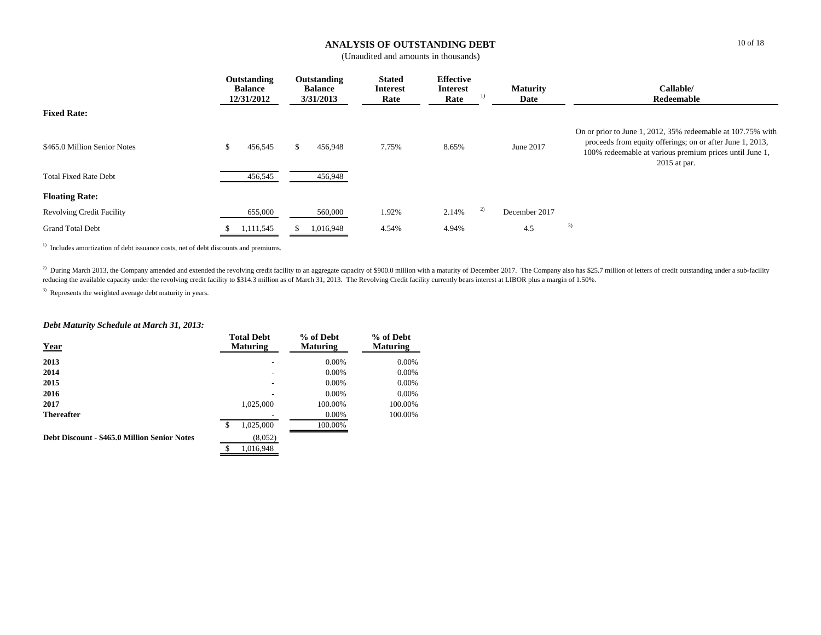## **ANALYSIS OF OUTSTANDING DEBT**

(Unaudited and amounts in thousands)

|                                                              | Outstanding<br><b>Balance</b><br>12/31/2012 | Outstanding<br><b>Balance</b><br>3/31/2013 | <b>Stated</b><br><b>Interest</b><br>Rate | <b>Effective</b><br><b>Interest</b><br>1)<br>Rate | <b>Maturity</b><br>Date | Callable/<br>Redeemable                                                                                                                                                                               |
|--------------------------------------------------------------|---------------------------------------------|--------------------------------------------|------------------------------------------|---------------------------------------------------|-------------------------|-------------------------------------------------------------------------------------------------------------------------------------------------------------------------------------------------------|
| <b>Fixed Rate:</b>                                           |                                             |                                            |                                          |                                                   |                         |                                                                                                                                                                                                       |
| \$465.0 Million Senior Notes<br><b>Total Fixed Rate Debt</b> | 456,545<br>S.<br>456,545                    | 456,948<br>456,948                         | 7.75%                                    | 8.65%                                             | June 2017               | On or prior to June 1, 2012, 35% redeemable at 107.75% with<br>proceeds from equity offerings; on or after June 1, 2013,<br>100% redeemable at various premium prices until June 1,<br>$2015$ at par. |
| <b>Floating Rate:</b>                                        |                                             |                                            |                                          |                                                   |                         |                                                                                                                                                                                                       |
| <b>Revolving Credit Facility</b>                             | 655,000                                     | 560,000                                    | 1.92%                                    | 2)<br>2.14%                                       | December 2017           |                                                                                                                                                                                                       |
| <b>Grand Total Debt</b>                                      | 1,111,545                                   | 1,016,948                                  | 4.54%                                    | 4.94%                                             | 4.5                     | 3)                                                                                                                                                                                                    |

<sup>1)</sup> Includes amortization of debt issuance costs, net of debt discounts and premiums.

<sup>2)</sup> During March 2013, the Company amended and extended the revolving credit facility to an aggregate capacity of \$900.0 million with a maturity of December 2017. The Company also has \$25.7 million of letters of credit ou reducing the available capacity under the revolving credit facility to \$314.3 million as of March 31, 2013. The Revolving Credit facility currently bears interest at LIBOR plus a margin of 1.50%.

<sup>3)</sup> Represents the weighted average debt maturity in years.

### *Debt Maturity Schedule at March 31, 2013:*

| <b>Year</b>                                         | <b>Total Debt</b><br><b>Maturing</b> |           | % of Debt<br><b>Maturing</b> | % of Debt<br><b>Maturing</b> |
|-----------------------------------------------------|--------------------------------------|-----------|------------------------------|------------------------------|
| 2013                                                |                                      |           | $0.00\%$                     | 0.00%                        |
| 2014                                                |                                      |           | $0.00\%$                     | 0.00%                        |
| 2015                                                |                                      |           | $0.00\%$                     | 0.00%                        |
| 2016                                                |                                      |           | $0.00\%$                     | $0.00\%$                     |
| 2017                                                |                                      | 1,025,000 | 100.00%                      | 100.00%                      |
| <b>Thereafter</b>                                   |                                      |           | $0.00\%$                     | 100.00%                      |
|                                                     | \$                                   | 1,025,000 | 100.00%                      |                              |
| <b>Debt Discount - \$465.0 Million Senior Notes</b> |                                      | (8,052)   |                              |                              |
|                                                     | \$                                   | 1.016.948 |                              |                              |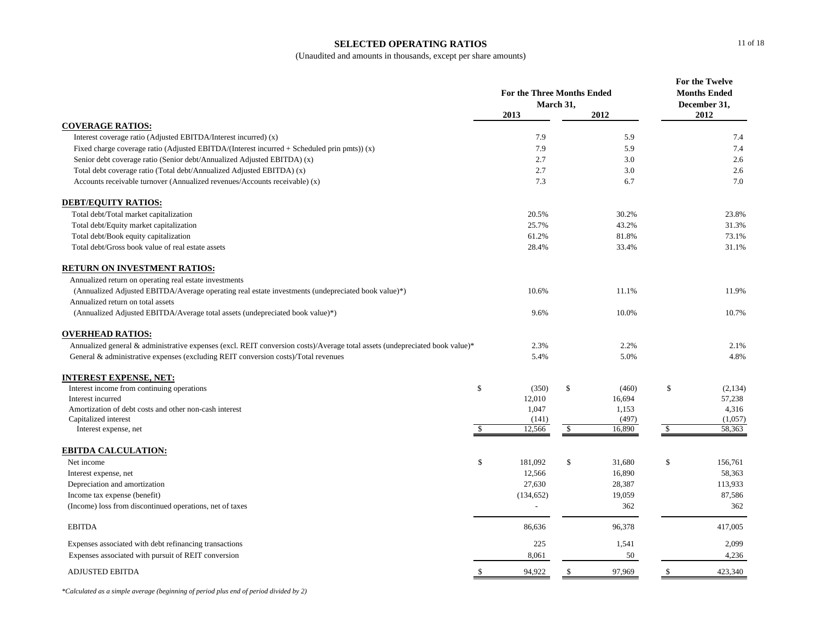#### **SELECTED OPERATING RATIOS**

(Unaudited and amounts in thousands, except per share amounts)

|                                                                                                                             |               | <b>For the Three Months Ended</b> |              |        | For the Twelve<br><b>Months Ended</b> |                      |
|-----------------------------------------------------------------------------------------------------------------------------|---------------|-----------------------------------|--------------|--------|---------------------------------------|----------------------|
|                                                                                                                             |               | 2013                              | March 31,    | 2012   |                                       | December 31,<br>2012 |
| <b>COVERAGE RATIOS:</b>                                                                                                     |               |                                   |              |        |                                       |                      |
| Interest coverage ratio (Adjusted EBITDA/Interest incurred) (x)                                                             |               | 7.9                               |              | 5.9    |                                       | 7.4                  |
| Fixed charge coverage ratio (Adjusted EBITDA/(Interest incurred $+$ Scheduled prin pmts)) (x)                               |               | 7.9                               |              | 5.9    |                                       | 7.4                  |
| Senior debt coverage ratio (Senior debt/Annualized Adjusted EBITDA) (x)                                                     |               | 2.7                               |              | 3.0    |                                       | 2.6                  |
| Total debt coverage ratio (Total debt/Annualized Adjusted EBITDA) (x)                                                       |               | 2.7                               |              | 3.0    |                                       | 2.6                  |
| Accounts receivable turnover (Annualized revenues/Accounts receivable) (x)                                                  |               | 7.3                               |              | 6.7    |                                       | 7.0                  |
| <b>DEBT/EQUITY RATIOS:</b>                                                                                                  |               |                                   |              |        |                                       |                      |
| Total debt/Total market capitalization                                                                                      |               | 20.5%                             |              | 30.2%  |                                       | 23.8%                |
| Total debt/Equity market capitalization                                                                                     |               | 25.7%                             |              | 43.2%  |                                       | 31.3%                |
| Total debt/Book equity capitalization                                                                                       |               | 61.2%                             |              | 81.8%  |                                       | 73.1%                |
| Total debt/Gross book value of real estate assets                                                                           |               | 28.4%                             |              | 33.4%  |                                       | 31.1%                |
| <b>RETURN ON INVESTMENT RATIOS:</b>                                                                                         |               |                                   |              |        |                                       |                      |
| Annualized return on operating real estate investments                                                                      |               |                                   |              |        |                                       |                      |
| (Annualized Adjusted EBITDA/Average operating real estate investments (undepreciated book value)*)                          |               | 10.6%                             |              | 11.1%  |                                       | 11.9%                |
| Annualized return on total assets                                                                                           |               |                                   |              |        |                                       |                      |
| (Annualized Adjusted EBITDA/Average total assets (undepreciated book value)*)                                               |               | 9.6%                              |              | 10.0%  |                                       | 10.7%                |
| <b>OVERHEAD RATIOS:</b>                                                                                                     |               |                                   |              |        |                                       |                      |
| Annualized general & administrative expenses (excl. REIT conversion costs)/Average total assets (undepreciated book value)* |               | 2.3%                              |              | 2.2%   |                                       | 2.1%                 |
| General & administrative expenses (excluding REIT conversion costs)/Total revenues                                          |               | 5.4%                              |              | 5.0%   |                                       | 4.8%                 |
| <b>INTEREST EXPENSE, NET:</b>                                                                                               |               |                                   |              |        |                                       |                      |
| Interest income from continuing operations                                                                                  | \$            | (350)                             | \$           | (460)  | \$                                    | (2,134)              |
| Interest incurred                                                                                                           |               | 12,010                            |              | 16,694 |                                       | 57,238               |
| Amortization of debt costs and other non-cash interest                                                                      |               | 1,047                             |              | 1,153  |                                       | 4,316                |
| Capitalized interest                                                                                                        |               | (141)                             |              | (497)  |                                       | (1,057)              |
| Interest expense, net                                                                                                       | <sup>\$</sup> | 12,566                            | \$           | 16,890 | $\mathcal{S}$                         | 58,363               |
| <b>EBITDA CALCULATION:</b>                                                                                                  |               |                                   |              |        |                                       |                      |
| Net income                                                                                                                  | $\$$          | 181,092                           | $\mathbb{S}$ | 31,680 | \$                                    | 156,761              |
| Interest expense, net                                                                                                       |               | 12,566                            |              | 16,890 |                                       | 58,363               |
| Depreciation and amortization                                                                                               |               | 27,630                            |              | 28,387 |                                       | 113,933              |
| Income tax expense (benefit)                                                                                                |               | (134, 652)                        |              | 19,059 |                                       | 87,586               |
| (Income) loss from discontinued operations, net of taxes                                                                    |               | ÷                                 |              | 362    |                                       | 362                  |
| <b>EBITDA</b>                                                                                                               |               | 86,636                            |              | 96,378 |                                       | 417,005              |
| Expenses associated with debt refinancing transactions                                                                      |               | 225                               |              | 1,541  |                                       | 2,099                |
| Expenses associated with pursuit of REIT conversion                                                                         |               | 8,061                             |              | 50     |                                       | 4,236                |
| <b>ADJUSTED EBITDA</b>                                                                                                      | \$            | 94,922                            | $\mathbb{S}$ | 97,969 | \$                                    | 423,340              |

*\*Calculated as a simple average (beginning of period plus end of period divided by 2)*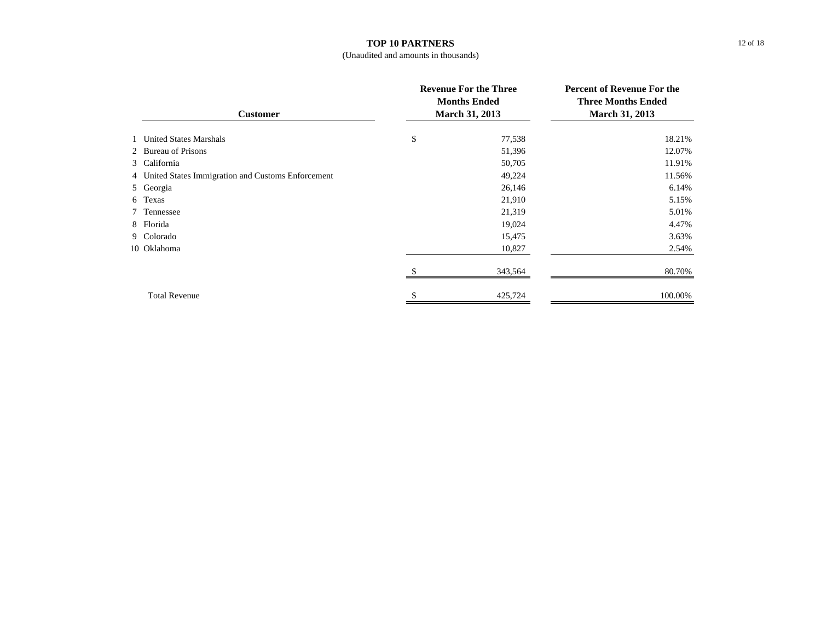### **TOP 10 PARTNERS**

### (Unaudited and amounts in thousands)

| <b>Customer</b> |                                                     | <b>Revenue For the Three</b><br><b>Months Ended</b><br><b>March 31, 2013</b> | <b>Percent of Revenue For the</b><br><b>Three Months Ended</b><br><b>March 31, 2013</b> |  |
|-----------------|-----------------------------------------------------|------------------------------------------------------------------------------|-----------------------------------------------------------------------------------------|--|
|                 | 1 United States Marshals                            | \$<br>77,538                                                                 | 18.21%                                                                                  |  |
|                 | 2 Bureau of Prisons                                 | 51,396                                                                       | 12.07%                                                                                  |  |
|                 | 3 California                                        | 50,705                                                                       | 11.91%                                                                                  |  |
|                 | 4 United States Immigration and Customs Enforcement | 49,224                                                                       | 11.56%                                                                                  |  |
|                 | 5 Georgia                                           | 26,146                                                                       | 6.14%                                                                                   |  |
|                 | 6 Texas                                             | 21,910                                                                       | 5.15%                                                                                   |  |
|                 | 7 Tennessee                                         | 21,319                                                                       | 5.01%                                                                                   |  |
|                 | 8 Florida                                           | 19,024                                                                       | 4.47%                                                                                   |  |
|                 | 9 Colorado                                          | 15,475                                                                       | 3.63%                                                                                   |  |
|                 | 10 Oklahoma                                         | 10,827                                                                       | 2.54%                                                                                   |  |
|                 |                                                     | 343,564                                                                      | 80.70%                                                                                  |  |
|                 | <b>Total Revenue</b>                                | 425,724                                                                      | 100.00%                                                                                 |  |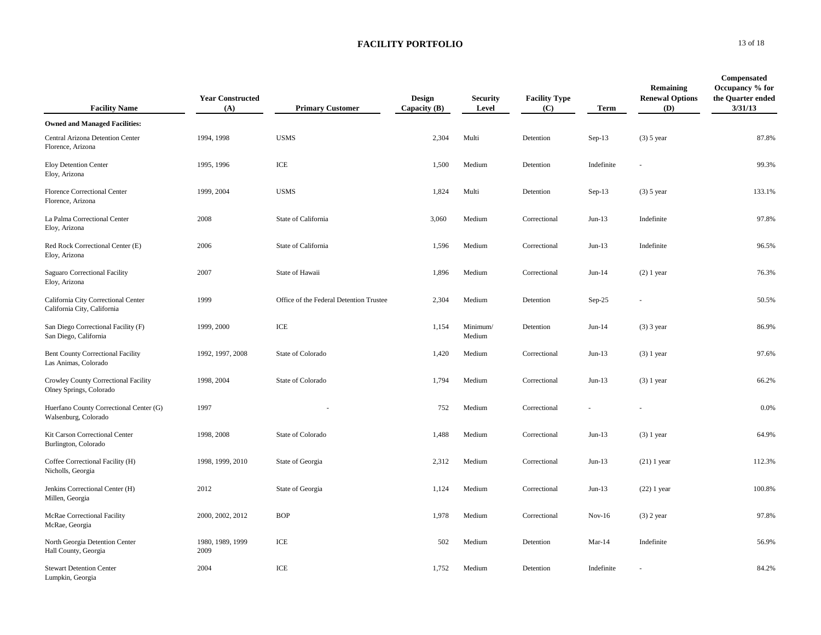| <b>Facility Name</b>                                               | <b>Year Constructed</b><br>(A) | <b>Primary Customer</b>                 | Design<br>Capacity $(B)$ | <b>Security</b><br>Level | <b>Facility Type</b><br>(C) | <b>Term</b> | Remaining<br><b>Renewal Options</b><br>(D) | Compensated<br>Occupancy % for<br>the Quarter ended<br>3/31/13 |
|--------------------------------------------------------------------|--------------------------------|-----------------------------------------|--------------------------|--------------------------|-----------------------------|-------------|--------------------------------------------|----------------------------------------------------------------|
| <b>Owned and Managed Facilities:</b>                               |                                |                                         |                          |                          |                             |             |                                            |                                                                |
| Central Arizona Detention Center<br>Florence, Arizona              | 1994, 1998                     | <b>USMS</b>                             | 2,304                    | Multi                    | Detention                   | $Sep-13$    | $(3)$ 5 year                               | 87.8%                                                          |
| Eloy Detention Center<br>Eloy, Arizona                             | 1995, 1996                     | ICE                                     | 1,500                    | Medium                   | Detention                   | Indefinite  | u.                                         | 99.3%                                                          |
| Florence Correctional Center<br>Florence, Arizona                  | 1999, 2004                     | <b>USMS</b>                             | 1,824                    | Multi                    | Detention                   | Sep-13      | $(3)$ 5 year                               | 133.1%                                                         |
| La Palma Correctional Center<br>Eloy, Arizona                      | 2008                           | State of California                     | 3,060                    | Medium                   | Correctional                | $Jun-13$    | Indefinite                                 | 97.8%                                                          |
| Red Rock Correctional Center (E)<br>Eloy, Arizona                  | 2006                           | State of California                     | 1,596                    | Medium                   | Correctional                | $Jun-13$    | Indefinite                                 | 96.5%                                                          |
| Saguaro Correctional Facility<br>Eloy, Arizona                     | 2007                           | State of Hawaii                         | 1,896                    | Medium                   | Correctional                | $Jun-14$    | $(2)$ 1 year                               | 76.3%                                                          |
| California City Correctional Center<br>California City, California | 1999                           | Office of the Federal Detention Trustee | 2,304                    | Medium                   | Detention                   | $Sep-25$    |                                            | 50.5%                                                          |
| San Diego Correctional Facility (F)<br>San Diego, California       | 1999, 2000                     | $\ensuremath{\textup{\textbf{ICE}}}$    | 1,154                    | Minimum/<br>Medium       | Detention                   | $Jun-14$    | $(3)$ 3 year                               | 86.9%                                                          |
| <b>Bent County Correctional Facility</b><br>Las Animas, Colorado   | 1992, 1997, 2008               | State of Colorado                       | 1,420                    | Medium                   | Correctional                | $Jun-13$    | $(3)$ 1 year                               | 97.6%                                                          |
| Crowley County Correctional Facility<br>Olney Springs, Colorado    | 1998, 2004                     | State of Colorado                       | 1,794                    | Medium                   | Correctional                | $Jun-13$    | $(3)$ 1 year                               | 66.2%                                                          |
| Huerfano County Correctional Center (G)<br>Walsenburg, Colorado    | 1997                           |                                         | 752                      | Medium                   | Correctional                |             |                                            | 0.0%                                                           |
| Kit Carson Correctional Center<br>Burlington, Colorado             | 1998, 2008                     | State of Colorado                       | 1,488                    | Medium                   | Correctional                | $Jun-13$    | $(3)$ 1 year                               | 64.9%                                                          |
| Coffee Correctional Facility (H)<br>Nicholls, Georgia              | 1998, 1999, 2010               | State of Georgia                        | 2,312                    | Medium                   | Correctional                | $Jun-13$    | $(21)$ 1 year                              | 112.3%                                                         |
| Jenkins Correctional Center (H)<br>Millen, Georgia                 | 2012                           | State of Georgia                        | 1,124                    | Medium                   | Correctional                | $Jun-13$    | $(22)$ 1 year                              | 100.8%                                                         |
| McRae Correctional Facility<br>McRae, Georgia                      | 2000, 2002, 2012               | <b>BOP</b>                              | 1,978                    | Medium                   | Correctional                | $Nov-16$    | $(3)$ 2 year                               | 97.8%                                                          |
| North Georgia Detention Center<br>Hall County, Georgia             | 1980, 1989, 1999<br>2009       | ICE                                     | 502                      | Medium                   | Detention                   | $Mar-14$    | Indefinite                                 | 56.9%                                                          |
| <b>Stewart Detention Center</b><br>Lumpkin, Georgia                | 2004                           | ICE                                     | 1,752                    | Medium                   | Detention                   | Indefinite  |                                            | 84.2%                                                          |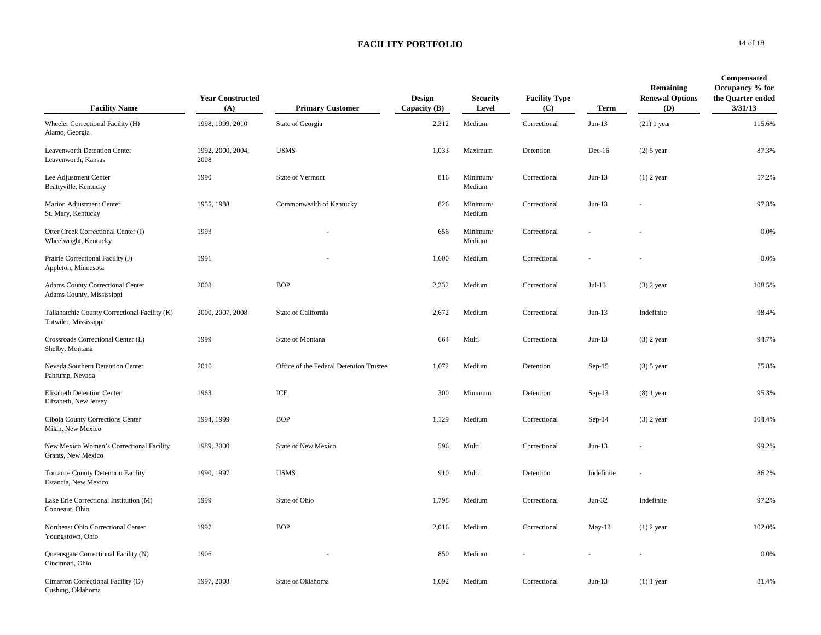| <b>Facility Name</b>                                                   | <b>Year Constructed</b><br>(A) | <b>Primary Customer</b>                 | <b>Design</b><br>Capacity $(B)$ | <b>Security</b><br>Level | <b>Facility Type</b><br>(C) | Term       | Remaining<br><b>Renewal Options</b><br>(D) | Compensated<br>Occupancy % for<br>the Quarter ended<br>3/31/13 |
|------------------------------------------------------------------------|--------------------------------|-----------------------------------------|---------------------------------|--------------------------|-----------------------------|------------|--------------------------------------------|----------------------------------------------------------------|
| Wheeler Correctional Facility (H)<br>Alamo, Georgia                    | 1998, 1999, 2010               | State of Georgia                        | 2,312                           | Medium                   | Correctional                | $Jun-13$   | $(21)$ 1 year                              | 115.6%                                                         |
| Leavenworth Detention Center<br>Leavenworth, Kansas                    | 1992, 2000, 2004,<br>2008      | <b>USMS</b>                             | 1,033                           | Maximum                  | Detention                   | $Dec-16$   | $(2)$ 5 year                               | 87.3%                                                          |
| Lee Adjustment Center<br>Beattyville, Kentucky                         | 1990                           | State of Vermont                        | 816                             | Minimum/<br>Medium       | Correctional                | $Jun-13$   | $(1)$ 2 year                               | 57.2%                                                          |
| Marion Adjustment Center<br>St. Mary, Kentucky                         | 1955, 1988                     | Commonwealth of Kentucky                | 826                             | Minimum/<br>Medium       | Correctional                | $Jun-13$   |                                            | 97.3%                                                          |
| Otter Creek Correctional Center (I)<br>Wheelwright, Kentucky           | 1993                           |                                         | 656                             | Minimum/<br>Medium       | Correctional                |            |                                            | 0.0%                                                           |
| Prairie Correctional Facility (J)<br>Appleton, Minnesota               | 1991                           |                                         | 1,600                           | Medium                   | Correctional                |            |                                            | 0.0%                                                           |
| <b>Adams County Correctional Center</b><br>Adams County, Mississippi   | 2008                           | <b>BOP</b>                              | 2,232                           | Medium                   | Correctional                | $Jul-13$   | $(3)$ 2 year                               | 108.5%                                                         |
| Tallahatchie County Correctional Facility (K)<br>Tutwiler, Mississippi | 2000, 2007, 2008               | State of California                     | 2,672                           | Medium                   | Correctional                | $Jun-13$   | Indefinite                                 | 98.4%                                                          |
| Crossroads Correctional Center (L)<br>Shelby, Montana                  | 1999                           | State of Montana                        | 664                             | Multi                    | Correctional                | $Jun-13$   | $(3)$ 2 year                               | 94.7%                                                          |
| Nevada Southern Detention Center<br>Pahrump, Nevada                    | 2010                           | Office of the Federal Detention Trustee | 1,072                           | Medium                   | Detention                   | $Sep-15$   | $(3)$ 5 year                               | 75.8%                                                          |
| <b>Elizabeth Detention Center</b><br>Elizabeth, New Jersey             | 1963                           | $\ensuremath{\text{ICE}}$               | 300                             | Minimum                  | Detention                   | $Sep-13$   | $(8)$ 1 year                               | 95.3%                                                          |
| Cibola County Corrections Center<br>Milan, New Mexico                  | 1994, 1999                     | <b>BOP</b>                              | 1,129                           | Medium                   | Correctional                | $Sep-14$   | $(3)$ 2 year                               | 104.4%                                                         |
| New Mexico Women's Correctional Facility<br>Grants, New Mexico         | 1989, 2000                     | <b>State of New Mexico</b>              | 596                             | Multi                    | Correctional                | $Jun-13$   |                                            | 99.2%                                                          |
| Torrance County Detention Facility<br>Estancia, New Mexico             | 1990, 1997                     | <b>USMS</b>                             | 910                             | Multi                    | Detention                   | Indefinite |                                            | 86.2%                                                          |
| Lake Erie Correctional Institution (M)<br>Conneaut, Ohio               | 1999                           | State of Ohio                           | 1,798                           | Medium                   | Correctional                | $Jun-32$   | Indefinite                                 | 97.2%                                                          |
| Northeast Ohio Correctional Center<br>Youngstown, Ohio                 | 1997                           | <b>BOP</b>                              | 2,016                           | Medium                   | Correctional                | $May-13$   | $(1)$ 2 year                               | 102.0%                                                         |
| Queensgate Correctional Facility (N)<br>Cincinnati, Ohio               | 1906                           |                                         | 850                             | Medium                   |                             |            |                                            | 0.0%                                                           |
| Cimarron Correctional Facility (O)<br>Cushing, Oklahoma                | 1997, 2008                     | State of Oklahoma                       | 1,692                           | Medium                   | Correctional                | $Jun-13$   | $(1)$ 1 year                               | 81.4%                                                          |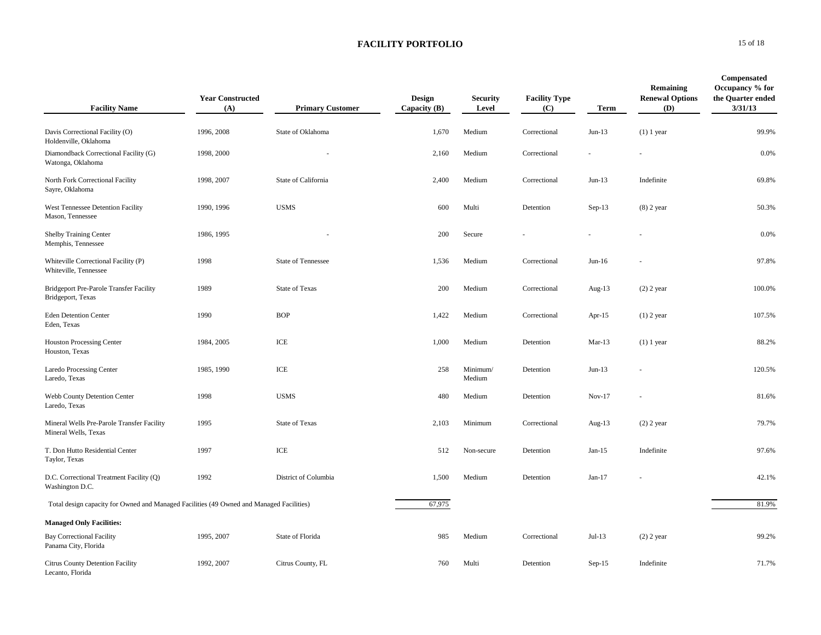| <b>Facility Name</b>                                                                     | <b>Year Constructed</b><br>(A) | <b>Primary Customer</b>              | <b>Design</b><br>Capacity $(B)$ | <b>Security</b><br>Level | <b>Facility Type</b><br>(C) | Term      | Remaining<br><b>Renewal Options</b><br>(D) | Compensated<br>Occupancy % for<br>the Quarter ended<br>3/31/13 |
|------------------------------------------------------------------------------------------|--------------------------------|--------------------------------------|---------------------------------|--------------------------|-----------------------------|-----------|--------------------------------------------|----------------------------------------------------------------|
| Davis Correctional Facility (O)<br>Holdenville, Oklahoma                                 | 1996, 2008                     | State of Oklahoma                    | 1,670                           | Medium                   | Correctional                | $Jun-13$  | $(1)$ 1 year                               | 99.9%                                                          |
| Diamondback Correctional Facility (G)<br>Watonga, Oklahoma                               | 1998, 2000                     |                                      | 2,160                           | Medium                   | Correctional                |           |                                            | 0.0%                                                           |
| North Fork Correctional Facility<br>Sayre, Oklahoma                                      | 1998, 2007                     | State of California                  | 2,400                           | Medium                   | Correctional                | $Jun-13$  | Indefinite                                 | 69.8%                                                          |
| West Tennessee Detention Facility<br>Mason, Tennessee                                    | 1990, 1996                     | <b>USMS</b>                          | 600                             | Multi                    | Detention                   | $Sep-13$  | $(8)$ 2 year                               | 50.3%                                                          |
| Shelby Training Center<br>Memphis, Tennessee                                             | 1986, 1995                     |                                      | 200                             | Secure                   |                             |           |                                            | 0.0%                                                           |
| Whiteville Correctional Facility (P)<br>Whiteville, Tennessee                            | 1998                           | State of Tennessee                   | 1,536                           | Medium                   | Correctional                | $Jun-16$  |                                            | 97.8%                                                          |
| Bridgeport Pre-Parole Transfer Facility<br>Bridgeport, Texas                             | 1989                           | <b>State of Texas</b>                | 200                             | Medium                   | Correctional                | Aug-13    | $(2)$ 2 year                               | 100.0%                                                         |
| <b>Eden Detention Center</b><br>Eden, Texas                                              | 1990                           | <b>BOP</b>                           | 1,422                           | Medium                   | Correctional                | Apr- $15$ | $(1)$ 2 year                               | 107.5%                                                         |
| <b>Houston Processing Center</b><br>Houston, Texas                                       | 1984, 2005                     | ICE                                  | 1,000                           | Medium                   | Detention                   | $Mar-13$  | $(1)$ 1 year                               | 88.2%                                                          |
| Laredo Processing Center<br>Laredo, Texas                                                | 1985, 1990                     | ICE                                  | 258                             | Minimum/<br>Medium       | Detention                   | $Jun-13$  |                                            | 120.5%                                                         |
| Webb County Detention Center<br>Laredo, Texas                                            | 1998                           | <b>USMS</b>                          | 480                             | Medium                   | Detention                   | $Nov-17$  |                                            | 81.6%                                                          |
| Mineral Wells Pre-Parole Transfer Facility<br>Mineral Wells, Texas                       | 1995                           | State of Texas                       | 2,103                           | Minimum                  | Correctional                | Aug- $13$ | $(2)$ 2 year                               | 79.7%                                                          |
| T. Don Hutto Residential Center<br>Taylor, Texas                                         | 1997                           | $\ensuremath{\textup{\textbf{ICE}}}$ | 512                             | Non-secure               | Detention                   | $Jan-15$  | Indefinite                                 | 97.6%                                                          |
| D.C. Correctional Treatment Facility (Q)<br>Washington D.C.                              | 1992                           | District of Columbia                 | 1,500                           | Medium                   | Detention                   | $Jan-17$  |                                            | 42.1%                                                          |
| Total design capacity for Owned and Managed Facilities (49 Owned and Managed Facilities) |                                |                                      | 67,975                          |                          |                             |           |                                            | 81.9%                                                          |
| <b>Managed Only Facilities:</b>                                                          |                                |                                      |                                 |                          |                             |           |                                            |                                                                |
| <b>Bay Correctional Facility</b><br>Panama City, Florida                                 | 1995, 2007                     | State of Florida                     | 985                             | Medium                   | Correctional                | $Jul-13$  | $(2)$ 2 year                               | 99.2%                                                          |
| Citrus County Detention Facility<br>Lecanto, Florida                                     | 1992, 2007                     | Citrus County, FL                    | 760                             | Multi                    | Detention                   | $Sep-15$  | Indefinite                                 | 71.7%                                                          |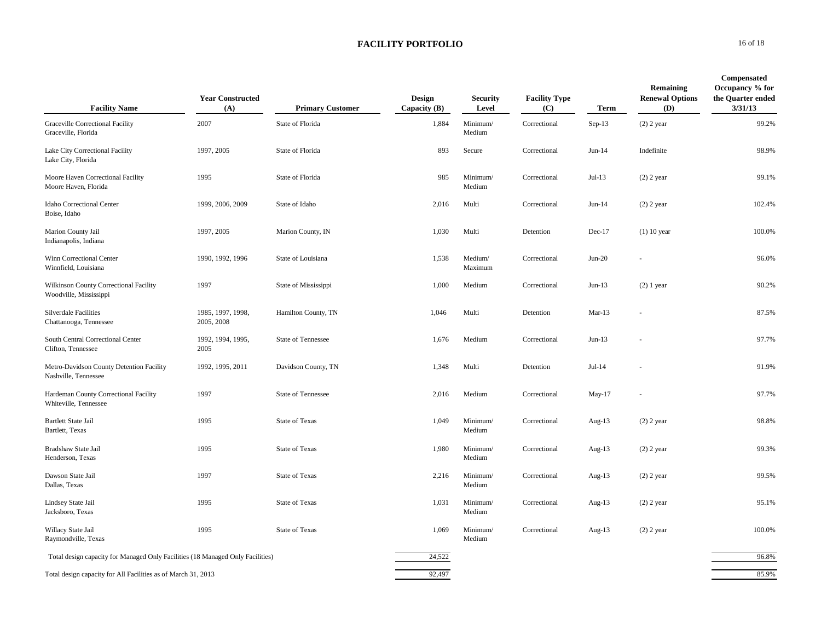| <b>Facility Name</b>                                                           | <b>Year Constructed</b><br>(A)  | <b>Primary Customer</b> | <b>Design</b><br>Capacity $(B)$ | <b>Security</b><br>Level | <b>Facility Type</b><br>(C) | Term      | Remaining<br><b>Renewal Options</b><br>(D) | Compensated<br>Occupancy % for<br>the Quarter ended<br>3/31/13 |
|--------------------------------------------------------------------------------|---------------------------------|-------------------------|---------------------------------|--------------------------|-----------------------------|-----------|--------------------------------------------|----------------------------------------------------------------|
| Graceville Correctional Facility<br>Graceville, Florida                        | 2007                            | State of Florida        | 1,884                           | Minimum/<br>Medium       | Correctional                | $Sep-13$  | $(2)$ 2 year                               | 99.2%                                                          |
| Lake City Correctional Facility<br>Lake City, Florida                          | 1997, 2005                      | State of Florida        | 893                             | Secure                   | Correctional                | $Jun-14$  | Indefinite                                 | 98.9%                                                          |
| Moore Haven Correctional Facility<br>Moore Haven, Florida                      | 1995                            | State of Florida        | 985                             | Minimum/<br>Medium       | Correctional                | $Jul-13$  | $(2)$ 2 year                               | 99.1%                                                          |
| Idaho Correctional Center<br>Boise, Idaho                                      | 1999, 2006, 2009                | State of Idaho          | 2,016                           | Multi                    | Correctional                | $Jun-14$  | $(2)$ 2 year                               | 102.4%                                                         |
| Marion County Jail<br>Indianapolis, Indiana                                    | 1997, 2005                      | Marion County, IN       | 1,030                           | Multi                    | Detention                   | $Dec-17$  | $(1)$ 10 year                              | 100.0%                                                         |
| Winn Correctional Center<br>Winnfield, Louisiana                               | 1990, 1992, 1996                | State of Louisiana      | 1,538                           | Medium/<br>Maximum       | Correctional                | $Jun-20$  | ÷.                                         | 96.0%                                                          |
| Wilkinson County Correctional Facility<br>Woodville, Mississippi               | 1997                            | State of Mississippi    | 1,000                           | Medium                   | Correctional                | $Jun-13$  | $(2)$ 1 year                               | 90.2%                                                          |
| Silverdale Facilities<br>Chattanooga, Tennessee                                | 1985, 1997, 1998,<br>2005, 2008 | Hamilton County, TN     | 1,046                           | Multi                    | Detention                   | $Mar-13$  |                                            | 87.5%                                                          |
| South Central Correctional Center<br>Clifton. Tennessee                        | 1992, 1994, 1995,<br>2005       | State of Tennessee      | 1,676                           | Medium                   | Correctional                | $Jun-13$  |                                            | 97.7%                                                          |
| Metro-Davidson County Detention Facility<br>Nashville, Tennessee               | 1992, 1995, 2011                | Davidson County, TN     | 1,348                           | Multi                    | Detention                   | $Jul-14$  |                                            | 91.9%                                                          |
| Hardeman County Correctional Facility<br>Whiteville, Tennessee                 | 1997                            | State of Tennessee      | 2,016                           | Medium                   | Correctional                | May-17    | ×,                                         | 97.7%                                                          |
| <b>Bartlett State Jail</b><br>Bartlett, Texas                                  | 1995                            | <b>State of Texas</b>   | 1,049                           | Minimum/<br>Medium       | Correctional                | Aug- $13$ | $(2)$ 2 year                               | 98.8%                                                          |
| Bradshaw State Jail<br>Henderson, Texas                                        | 1995                            | State of Texas          | 1,980                           | Minimum/<br>Medium       | Correctional                | Aug-13    | $(2)$ 2 year                               | 99.3%                                                          |
| Dawson State Jail<br>Dallas, Texas                                             | 1997                            | <b>State of Texas</b>   | 2,216                           | Minimum/<br>Medium       | Correctional                | Aug-13    | $(2)$ 2 year                               | 99.5%                                                          |
| Lindsey State Jail<br>Jacksboro, Texas                                         | 1995                            | State of Texas          | 1,031                           | Minimum/<br>Medium       | Correctional                | Aug-13    | $(2)$ 2 year                               | 95.1%                                                          |
| Willacy State Jail<br>Raymondville, Texas                                      | 1995                            | <b>State of Texas</b>   | 1,069                           | Minimum/<br>Medium       | Correctional                | Aug- $13$ | $(2)$ 2 year                               | 100.0%                                                         |
| Total design capacity for Managed Only Facilities (18 Managed Only Facilities) |                                 |                         | 24,522                          |                          |                             |           |                                            | 96.8%                                                          |
| Total design capacity for All Facilities as of March 31, 2013                  |                                 |                         | 92,497                          |                          |                             |           |                                            | 85.9%                                                          |

**O** 16 of 18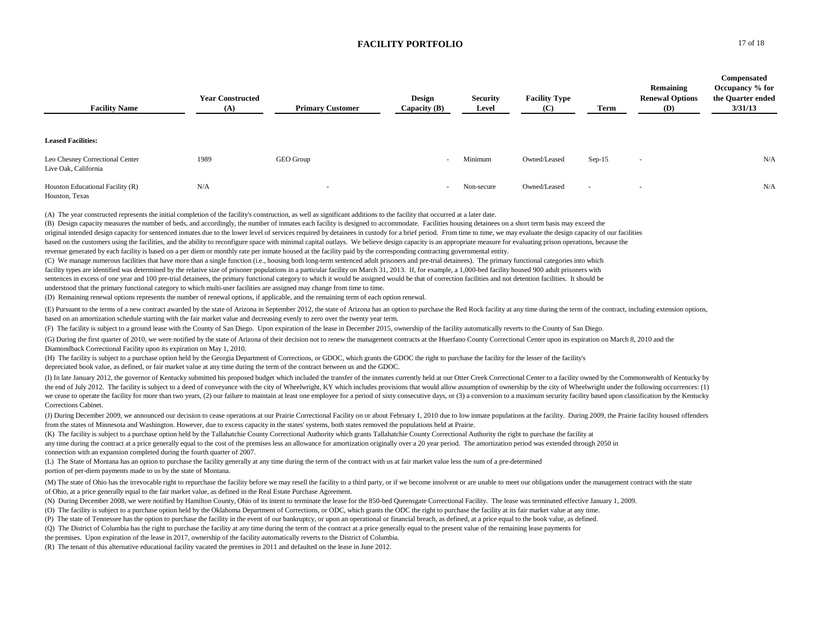| <b>Facility Name</b>                                    | <b>Year Constructed</b><br>(A) | <b>Primary Customer</b>                                                                                                                                                  | Design<br>Capacity $(B)$ | <b>Security</b><br>Level | <b>Facility Type</b><br>(C) | Term     | Remaining<br><b>Renewal Options</b><br><b>(D)</b> | Compensated<br>Occupancy % for<br>the Quarter ended<br>3/31/13 |
|---------------------------------------------------------|--------------------------------|--------------------------------------------------------------------------------------------------------------------------------------------------------------------------|--------------------------|--------------------------|-----------------------------|----------|---------------------------------------------------|----------------------------------------------------------------|
| <b>Leased Facilities:</b>                               |                                |                                                                                                                                                                          |                          |                          |                             |          |                                                   |                                                                |
| Leo Chesney Correctional Center<br>Live Oak, California | 1989                           | GEO Group                                                                                                                                                                | $\overline{\phantom{a}}$ | Minimum                  | Owned/Leased                | $Sep-15$ | $\overline{\phantom{a}}$                          | N/A                                                            |
| Houston Educational Facility (R)<br>Houston, Texas      | N/A                            | $\sim$                                                                                                                                                                   | $\sim$                   | Non-secure               | Owned/Leased                | ۰.       | $\overline{\phantom{a}}$                          | N/A                                                            |
|                                                         |                                | المستحدث والمتحدث والمتحدث والمتحدث والمتحدث والمتحدث<br>the contract of the contract of the contract of the contract of the contract of the contract of the contract of |                          | .                        |                             |          |                                                   |                                                                |

(A) The year constructed represents the initial completion of the facility's construction, as well as significant additions to the facility that occurred at a later date.

(B) Design capacity measures the number of beds, and accordingly, the number of inmates each facility is designed to accommodate. Facilities housing detainees on a short term basis may exceed the original intended design capacity for sentenced inmates due to the lower level of services required by detainees in custody for a brief period. From time to time, we may evaluate the design capacity of our facilities based on the customers using the facilities, and the ability to reconfigure space with minimal capital outlays. We believe design capacity is an appropriate measure for evaluating prison operations, because the revenue generated by each facility is based on a per diem or monthly rate per inmate housed at the facility paid by the corresponding contracting governmental entity.

(C) We manage numerous facilities that have more than a single function (i.e., housing both long-term sentenced adult prisoners and pre-trial detainees). The primary functional categories into which facility types are identified was determined by the relative size of prisoner populations in a particular facility on March 31, 2013. If, for example, a 1,000-bed facility housed 900 adult prisoners with sentences in excess of one year and 100 pre-trial detainees, the primary functional category to which it would be assigned would be that of correction facilities and not detention facilities. It should be understood that the primary functional category to which multi-user facilities are assigned may change from time to time. (D) Remaining renewal options represents the number of renewal options, if applicable, and the remaining term of each option renewal.

(E) Pursuant to the terms of a new contract awarded by the state of Arizona in September 2012, the state of Arizona has an option to purchase the Red Rock facility at any time during the term of the contract, including ext based on an amortization schedule starting with the fair market value and decreasing evenly to zero over the twenty year term.

(F) The facility is subject to a ground lease with the County of San Diego. Upon expiration of the lease in December 2015, ownership of the facility automatically reverts to the County of San Diego.

(G) During the first quarter of 2010, we were notified by the state of Arizona of their decision not to renew the management contracts at the Huerfano County Correctional Center upon its expiration on March 8, 2010 and the Diamondback Correctional Facility upon its expiration on May 1, 2010.

(H) The facility is subject to a purchase option held by the Georgia Department of Corrections, or GDOC, which grants the GDOC the right to purchase the facility for the lesser of the facility's depreciated book value, as defined, or fair market value at any time during the term of the contract between us and the GDOC.

(I) In late January 2012, the governor of Kentucky submitted his proposed budget which included the transfer of the inmates currently held at our Otter Creek Correctional Center to a facility owned by the Commonwealth of K the end of July 2012. The facility is subject to a deed of conveyance with the city of Wheelwright, KY which includes provisions that would allow assumption of ownership by the city of Wheelwright under the following occur we cease to operate the facility for more than two years. (2) our failure to maintain at least one employee for a period of sixty consecutive days, or (3) a conversion to a maximum security facility based upon classificati Corrections Cabinet.

(J) During December 2009, we announced our decision to cease operations at our Prairie Correctional Facility on or about February 1, 2010 due to low inmate populations at the facility. During 2009, the Prairie facility hou from the states of Minnesota and Washington. However, due to excess capacity in the states' systems, both states removed the populations held at Prairie.

(K) The facility is subject to a purchase option held by the Tallahatchie County Correctional Authority which grants Tallahatchie County Correctional Authority the right to purchase the facility at any time during the contract at a price generally equal to the cost of the premises less an allowance for amortization originally over a 20 year period. The amortization period was extended through 2050 in

connection with an expansion completed during the fourth quarter of 2007.

(L) The State of Montana has an option to purchase the facility generally at any time during the term of the contract with us at fair market value less the sum of a pre-determined portion of per-diem payments made to us by the state of Montana.

(M) The state of Ohio has the irrevocable right to repurchase the facility before we may resell the facility to a third party, or if we become insolvent or are unable to meet our obligations under the management contract w of Ohio, at a price generally equal to the fair market value, as defined in the Real Estate Purchase Agreement.

(N) During December 2008, we were notified by Hamilton County, Ohio of its intent to terminate the lease for the 850-bed Queensgate Correctional Facility. The lease was terminated effective January 1, 2009.

(O) The facility is subject to a purchase option held by the Oklahoma Department of Corrections, or ODC, which grants the ODC the right to purchase the facility at its fair market value at any time.

(P) The state of Tennessee has the option to purchase the facility in the event of our bankruptcy, or upon an operational or financial breach, as defined, at a price equal to the book value, as defined.

(Q) The District of Columbia has the right to purchase the facility at any time during the term of the contract at a price generally equal to the present value of the remaining lease payments for

the premises. Upon expiration of the lease in 2017, ownership of the facility automatically reverts to the District of Columbia.

(R) The tenant of this alternative educational facility vacated the premises in 2011 and defaulted on the lease in June 2012.